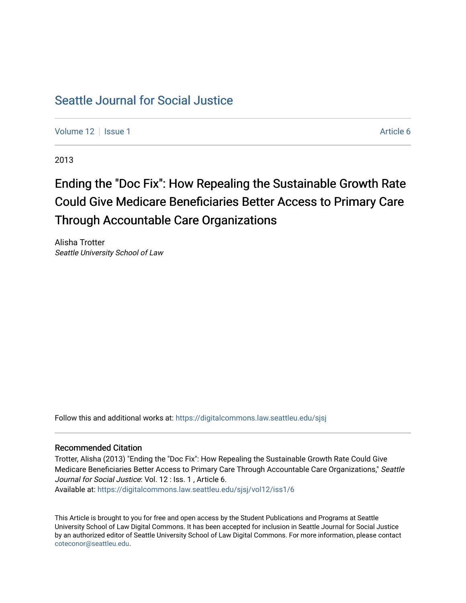# [Seattle Journal for Social Justice](https://digitalcommons.law.seattleu.edu/sjsj)

[Volume 12](https://digitalcommons.law.seattleu.edu/sjsj/vol12) | [Issue 1](https://digitalcommons.law.seattleu.edu/sjsj/vol12/iss1) Article 6

2013

# Ending the "Doc Fix": How Repealing the Sustainable Growth Rate Could Give Medicare Beneficiaries Better Access to Primary Care Through Accountable Care Organizations

Alisha Trotter Seattle University School of Law

Follow this and additional works at: [https://digitalcommons.law.seattleu.edu/sjsj](https://digitalcommons.law.seattleu.edu/sjsj?utm_source=digitalcommons.law.seattleu.edu%2Fsjsj%2Fvol12%2Fiss1%2F6&utm_medium=PDF&utm_campaign=PDFCoverPages)

# Recommended Citation

Trotter, Alisha (2013) "Ending the "Doc Fix": How Repealing the Sustainable Growth Rate Could Give Medicare Beneficiaries Better Access to Primary Care Through Accountable Care Organizations," Seattle Journal for Social Justice: Vol. 12 : Iss. 1 , Article 6. Available at: [https://digitalcommons.law.seattleu.edu/sjsj/vol12/iss1/6](https://digitalcommons.law.seattleu.edu/sjsj/vol12/iss1/6?utm_source=digitalcommons.law.seattleu.edu%2Fsjsj%2Fvol12%2Fiss1%2F6&utm_medium=PDF&utm_campaign=PDFCoverPages)

This Article is brought to you for free and open access by the Student Publications and Programs at Seattle University School of Law Digital Commons. It has been accepted for inclusion in Seattle Journal for Social Justice by an authorized editor of Seattle University School of Law Digital Commons. For more information, please contact [coteconor@seattleu.edu.](mailto:coteconor@seattleu.edu)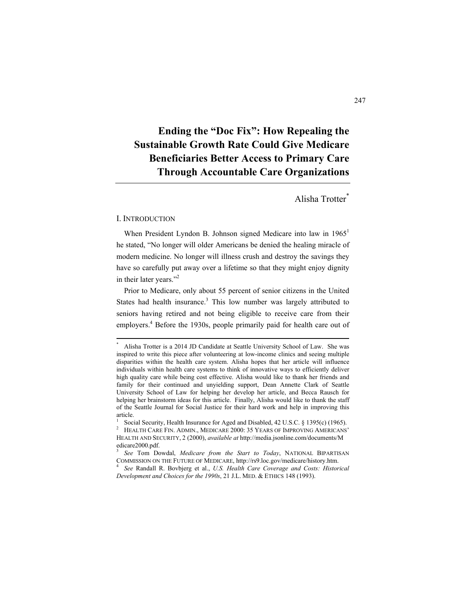# **Ending the "Doc Fix": How Repealing the Sustainable Growth Rate Could Give Medicare Beneficiaries Better Access to Primary Care Through Accountable Care Organizations**

# Alisha Trotter\*

#### I. INTRODUCTION

When President Lyndon B. Johnson signed Medicare into law in 1965<sup>1</sup> he stated, "No longer will older Americans be denied the healing miracle of modern medicine. No longer will illness crush and destroy the savings they have so carefully put away over a lifetime so that they might enjoy dignity in their later years."<sup>2</sup>

Prior to Medicare, only about 55 percent of senior citizens in the United States had health insurance.<sup>3</sup> This low number was largely attributed to seniors having retired and not being eligible to receive care from their employers.<sup>4</sup> Before the 1930s, people primarily paid for health care out of

 \* Alisha Trotter is a 2014 JD Candidate at Seattle University School of Law. She was inspired to write this piece after volunteering at low-income clinics and seeing multiple disparities within the health care system. Alisha hopes that her article will influence individuals within health care systems to think of innovative ways to efficiently deliver high quality care while being cost effective. Alisha would like to thank her friends and family for their continued and unyielding support, Dean Annette Clark of Seattle University School of Law for helping her develop her article, and Becca Rausch for helping her brainstorm ideas for this article. Finally, Alisha would like to thank the staff of the Seattle Journal for Social Justice for their hard work and help in improving this article. 1

Social Security, Health Insurance for Aged and Disabled, 42 U.S.C. § 1395(c) (1965). <sup>2</sup> HEALTH CARE FIN. ADMIN., MEDICARE 2000: 35 YEARS OF IMPROVING AMERICANS'

HEALTH AND SECURITY, 2 (2000), *available at* http://media.jsonline.com/documents/M edicare2000.pdf.

<sup>3</sup>  *See* Tom Dowdal, *Medicare from the Start to Today*, NATIONAL BIPARTISAN COMMISSION ON THE FUTURE OF MEDICARE, http://rs9.loc.gov/medicare/history.htm.

*See* Randall R. Bovbjerg et al., *U.S. Health Care Coverage and Costs: Historical Development and Choices for the 1990s*, 21 J.L. MED. & ETHICS 148 (1993).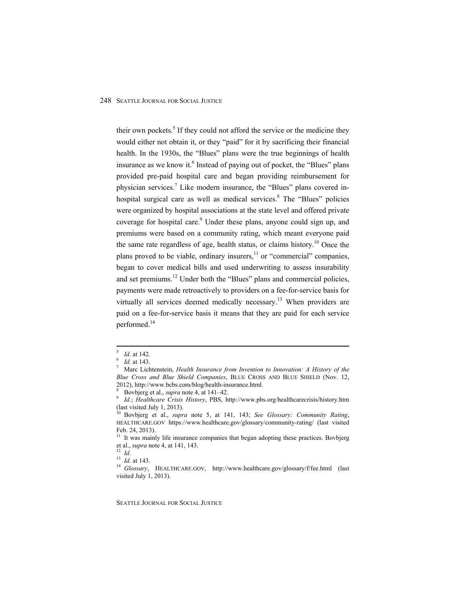their own pockets.<sup>5</sup> If they could not afford the service or the medicine they would either not obtain it, or they "paid" for it by sacrificing their financial health. In the 1930s, the "Blues" plans were the true beginnings of health insurance as we know it.<sup>6</sup> Instead of paying out of pocket, the "Blues" plans provided pre-paid hospital care and began providing reimbursement for physician services.<sup>7</sup> Like modern insurance, the "Blues" plans covered inhospital surgical care as well as medical services.<sup>8</sup> The "Blues" policies were organized by hospital associations at the state level and offered private coverage for hospital care.<sup>9</sup> Under these plans, anyone could sign up, and premiums were based on a community rating, which meant everyone paid the same rate regardless of age, health status, or claims history.<sup>10</sup> Once the plans proved to be viable, ordinary insurers, $\frac{11}{11}$  or "commercial" companies, began to cover medical bills and used underwriting to assess insurability and set premiums.<sup>12</sup> Under both the "Blues" plans and commercial policies, payments were made retroactively to providers on a fee-for-service basis for virtually all services deemed medically necessary.<sup>13</sup> When providers are paid on a fee-for-service basis it means that they are paid for each service performed.<sup>14</sup>

SEATTLE JOURNAL FOR SOCIAL JUSTICE

 $\frac{5}{5}$  Id at 142 *Id.* at 142.

*Id.* at 143.

Marc Lichtenstein, *Health Insurance from Invention to Innovation: A History of the Blue Cross and Blue Shield Companies*, BLUE CROSS AND BLUE SHIELD (Nov. 12, 2012), http://www.bcbs.com/blog/health-insurance.html. 8

 $\frac{8}{9}$  Bovbjerg et al., *supra* note 4, at 141–42.

*Id.*; *Healthcare Crisis History*, PBS, http://www.pbs.org/healthcarecrisis/history.htm (last visited July 1, 2013).

<sup>10</sup> Bovbjerg et al., *supra* note 5, at 141, 143; *See Glossary: Community Rating*, HEALTHCARE.GOV https://www.healthcare.gov/glossary/community-rating/ (last visited Feb. 24, 2013).

<sup>&</sup>lt;sup>11</sup> It was mainly life insurance companies that began adopting these practices. Bovbjerg et al., *supra* note 4, at 141, 143.<br><sup>12</sup> *Id.*<br><sup>13</sup> *Id.* at 143.

<sup>&</sup>lt;sup>14</sup> Glossary, HEALTHCARE.GOV, http://www.healthcare.gov/glossary/f/fee.html (last visited July 1, 2013).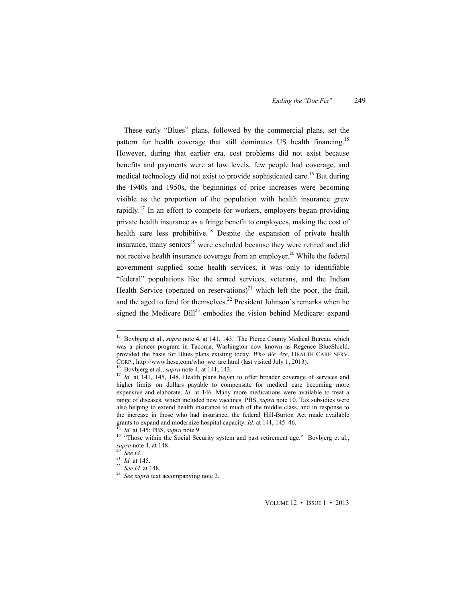These early "Blues" plans, followed by the commercial plans, set the pattern for health coverage that still dominates US health financing.<sup>15</sup> However, during that earlier era, cost problems did not exist because benefits and payments were at low levels, few people had coverage, and medical technology did not exist to provide sophisticated care.<sup>16</sup> But during the 1940s and 1950s, the beginnings of price increases were becoming visible as the proportion of the population with health insurance grew rapidly.<sup>17</sup> In an effort to compete for workers, employers began providing private health insurance as a fringe benefit to employees, making the cost of health care less prohibitive.<sup>18</sup> Despite the expansion of private health insurance, many seniors<sup>19</sup> were excluded because they were retired and did not receive health insurance coverage from an employer.<sup>20</sup> While the federal government supplied some health services, it was only to identifiable "federal" populations like the armed services, veterans, and the Indian Health Service (operated on reservations)<sup>21</sup> which left the poor, the frail, and the aged to fend for themselves.<sup>22</sup> President Johnson's remarks when he signed the Medicare Bill<sup>23</sup> embodies the vision behind Medicare: expand

VOLUME 12 • ISSUE 1 • 2013

<sup>&</sup>lt;sup>15</sup> Bovbjerg et al., *supra* note 4, at 141, 143. The Pierce County Medical Bureau, which was a pioneer program in Tacoma, Washington now known as Regence BlueShield, provided the basis for Blues plans existing today. *Who We Are*, HEALTH CARE SERV. CORP., http://www.hcsc.com/who\_we\_are.html (last visited July 1, 2013).<br><sup>16</sup> Bovbjerg et al., *supra* note 4, at 141, 143.<br><sup>17</sup> *Id.* at 141, 145, 148. Health plans began to offer broader coverage of services and

higher limits on dollars payable to compensate for medical care becoming more expensive and elaborate. *Id.* at 146. Many more medications were available to treat a range of diseases, which included new vaccines. PBS, *supra* note 10. Tax subsidies were also helping to extend health insurance to much of the middle class, and in response to the increase in those who had insurance, the federal Hill-Burton Act made available grants to expand and modernize hospital capacity.  $Id$  at 141, 145–46.

<sup>&</sup>lt;sup>18</sup> *Id.* at 145; PBS, *supra* note 9. *If*  $\frac{18}{19}$  *Id.* $\frac{14}{19}$  **<sup>19</sup>** *Id.* $\frac{1}{19}$  **<b>***If*  $\frac{1}{19}$  *If*  $\frac{1}{19}$  *CO III*  $\frac{1}{19}$  *III*  $\frac{1}{19}$  *CO III*  $\frac{1}{19}$  *CO III supra* note 4, at 148.<br><sup>20</sup> *See id.*<br><sup>21</sup> *Id.* at 145.

<sup>21</sup> *Id.* at 145. 22 *See id.* at 148. 23 *See supra* text accompanying note 2.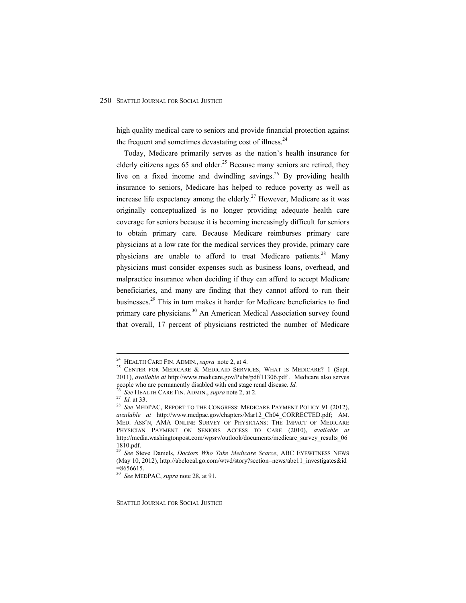high quality medical care to seniors and provide financial protection against the frequent and sometimes devastating cost of illness.<sup>24</sup>

Today, Medicare primarily serves as the nation's health insurance for elderly citizens ages 65 and older.<sup>25</sup> Because many seniors are retired, they live on a fixed income and dwindling savings.<sup>26</sup> By providing health insurance to seniors, Medicare has helped to reduce poverty as well as increase life expectancy among the elderly.<sup>27</sup> However, Medicare as it was originally conceptualized is no longer providing adequate health care coverage for seniors because it is becoming increasingly difficult for seniors to obtain primary care. Because Medicare reimburses primary care physicians at a low rate for the medical services they provide, primary care physicians are unable to afford to treat Medicare patients.<sup>28</sup> Many physicians must consider expenses such as business loans, overhead, and malpractice insurance when deciding if they can afford to accept Medicare beneficiaries, and many are finding that they cannot afford to run their businesses.29 This in turn makes it harder for Medicare beneficiaries to find primary care physicians.<sup>30</sup> An American Medical Association survey found that overall, 17 percent of physicians restricted the number of Medicare

<sup>&</sup>lt;sup>24</sup> HEALTH CARE FIN. ADMIN., *supra* note 2, at 4.<br><sup>25</sup> CENTER FOR MEDICARE & MEDICAID SERVICES, WHAT IS MEDICARE? 1 (Sept. 2011), *available at* http://www.medicare.gov/Pubs/pdf/11306.pdf . Medicare also serves people who are permanently disabled with end stage renal disease. *Id*.

<sup>&</sup>lt;sup>26</sup> See HEALTH CARE FIN. ADMIN., *supra* note 2, at 2.<br><sup>27</sup> *Id.* at 33.<br><sup>28</sup> See MEDPAC, REPORT TO THE CONGRESS: MEDICARE PAYMENT POLICY 91 (2012), *available at* http://www.medpac.gov/chapters/Mar12\_Ch04\_CORRECTED.pdf; AM. MED. ASS'N, AMA ONLINE SURVEY OF PHYSICIANS: THE IMPACT OF MEDICARE PHYSICIAN PAYMENT ON SENIORS ACCESS TO CARE (2010), *available at*  http://media.washingtonpost.com/wpsrv/outlook/documents/medicare\_survey\_results\_06 1810.pdf.

<sup>29</sup> *See* Steve Daniels, *Doctors Who Take Medicare Scarce*, ABC EYEWITNESS NEWS (May 10, 2012), http://abclocal.go.com/wtvd/story?section=news/abc11\_investigates&id  $=8656615.$ 

<sup>30</sup> *See* MEDPAC, *supra* note 28, at 91.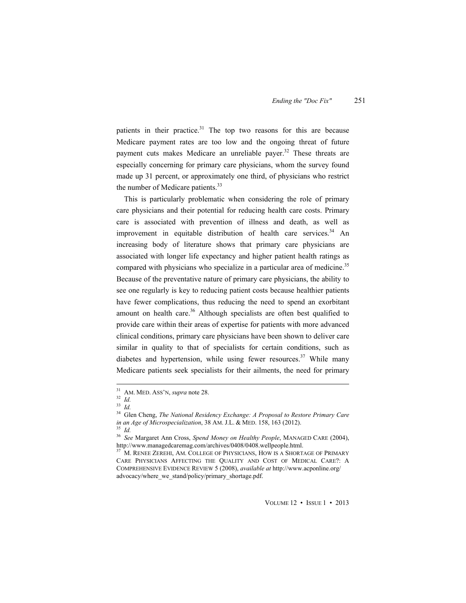patients in their practice.<sup>31</sup> The top two reasons for this are because Medicare payment rates are too low and the ongoing threat of future payment cuts makes Medicare an unreliable payer.<sup>32</sup> These threats are especially concerning for primary care physicians, whom the survey found made up 31 percent, or approximately one third, of physicians who restrict the number of Medicare patients.<sup>33</sup>

This is particularly problematic when considering the role of primary care physicians and their potential for reducing health care costs. Primary care is associated with prevention of illness and death, as well as improvement in equitable distribution of health care services. $34$  An increasing body of literature shows that primary care physicians are associated with longer life expectancy and higher patient health ratings as compared with physicians who specialize in a particular area of medicine.<sup>35</sup> Because of the preventative nature of primary care physicians, the ability to see one regularly is key to reducing patient costs because healthier patients have fewer complications, thus reducing the need to spend an exorbitant amount on health care.<sup>36</sup> Although specialists are often best qualified to provide care within their areas of expertise for patients with more advanced clinical conditions, primary care physicians have been shown to deliver care similar in quality to that of specialists for certain conditions, such as diabetes and hypertension, while using fewer resources.<sup>37</sup> While many Medicare patients seek specialists for their ailments, the need for primary

 31 AM. MED. ASS'N, *supra* note 28. 32 *Id.*

<sup>33</sup> *Id.*

<sup>34</sup> Glen Cheng, *The National Residency Exchange: A Proposal to Restore Primary Care in an Age of Microspecialization*, 38 AM. J.L. & MED. 158, 163 (2012).

<sup>36</sup> *See* Margaret Ann Cross, *Spend Money on Healthy People*, MANAGED CARE (2004), http://www.managedcaremag.com/archives/0408/0408.wellpeople.html.

<sup>&</sup>lt;sup>37</sup> M. RENEE ZEREHI, AM. COLLEGE OF PHYSICIANS, HOW IS A SHORTAGE OF PRIMARY CARE PHYSICIANS AFFECTING THE QUALITY AND COST OF MEDICAL CARE?: A COMPREHENSIVE EVIDENCE REVIEW 5 (2008), *available at* http://www.acponline.org/ advocacy/where\_we\_stand/policy/primary\_shortage.pdf.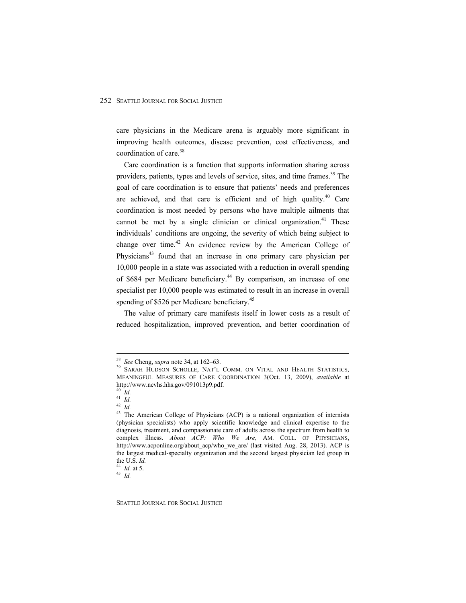care physicians in the Medicare arena is arguably more significant in improving health outcomes, disease prevention, cost effectiveness, and coordination of care.<sup>38</sup>

Care coordination is a function that supports information sharing across providers, patients, types and levels of service, sites, and time frames.<sup>39</sup> The goal of care coordination is to ensure that patients' needs and preferences are achieved, and that care is efficient and of high quality.<sup>40</sup> Care coordination is most needed by persons who have multiple ailments that cannot be met by a single clinician or clinical organization.<sup>41</sup> These individuals' conditions are ongoing, the severity of which being subject to change over time.<sup>42</sup> An evidence review by the American College of Physicians<sup>43</sup> found that an increase in one primary care physician per 10,000 people in a state was associated with a reduction in overall spending of \$684 per Medicare beneficiary.<sup>44</sup> By comparison, an increase of one specialist per 10,000 people was estimated to result in an increase in overall spending of \$526 per Medicare beneficiary.<sup>45</sup>

The value of primary care manifests itself in lower costs as a result of reduced hospitalization, improved prevention, and better coordination of

SEATTLE JOURNAL FOR SOCIAL JUSTICE

<sup>&</sup>lt;sup>38</sup> See Cheng, *supra* note 34, at 162–63.<br><sup>39</sup> SARAH HUDSON SCHOLLE, NAT'L COMM. ON VITAL AND HEALTH STATISTICS, MEANINGFUL MEASURES OF CARE COORDINATION 3(Oct. 13, 2009), *available* at http://www.ncvhs.hhs.gov/091013p9.pdf.

<sup>40</sup> *Id.* <sup>41</sup> *Id.*

<sup>42</sup> *Id.*

<sup>&</sup>lt;sup>43</sup> The American College of Physicians (ACP) is a national organization of internists (physician specialists) who apply scientific knowledge and clinical expertise to the diagnosis, treatment, and compassionate care of adults across the spectrum from health to complex illness. *About ACP: Who We Are*, AM. COLL. OF PHYSICIANS, http://www.acponline.org/about\_acp/who\_we\_are/ (last visited Aug. 28, 2013). ACP is the largest medical-specialty organization and the second largest physician led group in the U.S. *Id.* <sup>44</sup> *Id.* at 5. 45 *Id.*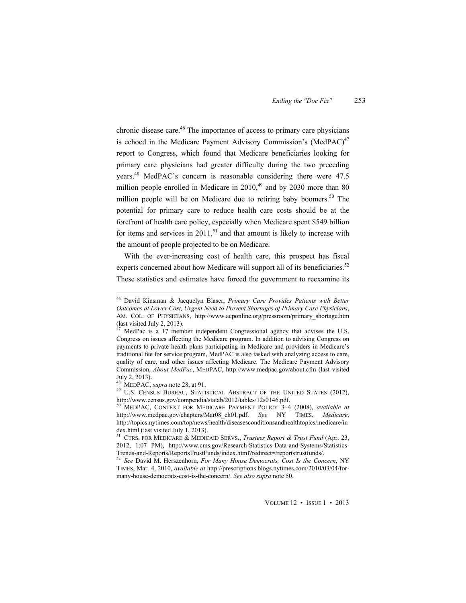chronic disease care.<sup>46</sup> The importance of access to primary care physicians is echoed in the Medicare Payment Advisory Commission's  $(MedPAC)^{47}$ report to Congress, which found that Medicare beneficiaries looking for primary care physicians had greater difficulty during the two preceding years.48 MedPAC's concern is reasonable considering there were 47.5 million people enrolled in Medicare in  $2010<sup>49</sup>$  and by 2030 more than 80 million people will be on Medicare due to retiring baby boomers.<sup>50</sup> The potential for primary care to reduce health care costs should be at the forefront of health care policy, especially when Medicare spent \$549 billion for items and services in  $2011$ ,  $51$  and that amount is likely to increase with the amount of people projected to be on Medicare.

With the ever-increasing cost of health care, this prospect has fiscal experts concerned about how Medicare will support all of its beneficiaries.<sup>52</sup> These statistics and estimates have forced the government to reexamine its

 46 David Kinsman & Jacquelyn Blaser, *Primary Care Provides Patients with Better Outcomes at Lower Cost, Urgent Need to Prevent Shortages of Primary Care Physicians*, AM. COL. OF PHYSICIANS, http://www.acponline.org/pressroom/primary\_shortage.htm (last visited July 2, 2013).<br> $^{47}$  MedDec 1.

MedPac is a 17 member independent Congressional agency that advises the U.S. Congress on issues affecting the Medicare program. In addition to advising Congress on payments to private health plans participating in Medicare and providers in Medicare's traditional fee for service program, MedPAC is also tasked with analyzing access to care, quality of care, and other issues affecting Medicare. The Medicare Payment Advisory Commission, *About MedPac*, MEDPAC, http://www.medpac.gov/about.cfm (last visited July 2, 2013).<br><sup>48</sup> MEDPAC, *supra* note 28, at 91.

<sup>&</sup>lt;sup>49</sup> U.S. CENSUS BUREAU, STATISTICAL ABSTRACT OF THE UNITED STATES (2012), http://www.census.gov/compendia/statab/2012/tables/12s0146.pdf. 50 MEDPAC, CONTEXT FOR MEDICARE PAYMENT POLICY 3–4 (2008), *available at*

http://www.medpac.gov/chapters/Mar08\_ch01.pdf. *See* NY TIMES, *Medicare*, http://topics.nytimes.com/top/news/health/diseasesconditionsandhealthtopics/medicare/in dex.html (last visited July 1, 2013).<br><sup>51</sup> CTRS. FOR MEDICARE & MEDICAID SERVS., *Trustees Report & Trust Fund* (Apr. 23,

<sup>2012, 1:07</sup> PM), http://www.cms.gov/Research-Statistics-Data-and-Systems/Statistics-

<sup>&</sup>lt;sup>52</sup> See David M. Herszenhorn, *For Many House Democrats, Cost Is the Concern*, NY TIMES, Mar. 4, 2010, *available at* http://prescriptions.blogs.nytimes.com/2010/03/04/formany-house-democrats-cost-is-the-concern/. *See also supra* note 50.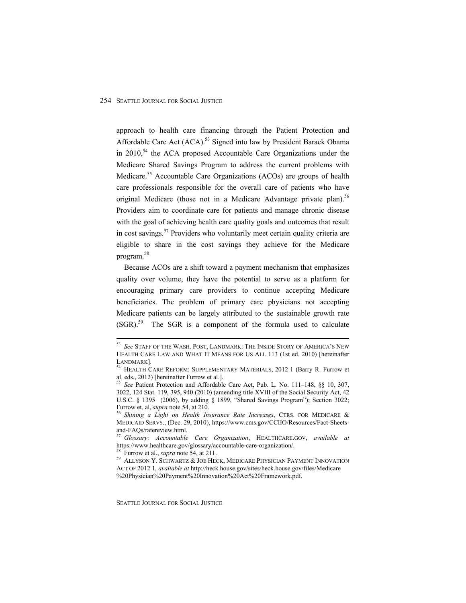approach to health care financing through the Patient Protection and Affordable Care Act (ACA).<sup>53</sup> Signed into law by President Barack Obama in  $2010$ ,<sup>54</sup> the ACA proposed Accountable Care Organizations under the Medicare Shared Savings Program to address the current problems with Medicare.<sup>55</sup> Accountable Care Organizations (ACOs) are groups of health care professionals responsible for the overall care of patients who have original Medicare (those not in a Medicare Advantage private plan).<sup>56</sup> Providers aim to coordinate care for patients and manage chronic disease with the goal of achieving health care quality goals and outcomes that result in cost savings.57 Providers who voluntarily meet certain quality criteria are eligible to share in the cost savings they achieve for the Medicare program.<sup>58</sup>

Because ACOs are a shift toward a payment mechanism that emphasizes quality over volume, they have the potential to serve as a platform for encouraging primary care providers to continue accepting Medicare beneficiaries. The problem of primary care physicians not accepting Medicare patients can be largely attributed to the sustainable growth rate  $(SGR)$ <sup>59</sup> The SGR is a component of the formula used to calculate

SEATTLE JOURNAL FOR SOCIAL JUSTICE

 <sup>53</sup> *See* STAFF OF THE WASH. POST, LANDMARK: THE INSIDE STORY OF AMERICA'S NEW HEALTH CARE LAW AND WHAT IT MEANS FOR US ALL 113 (1st ed. 2010) [hereinafter

 $\frac{1}{54}$  HEALTH CARE REFORM: SUPPLEMENTARY MATERIALS, 2012 1 (Barry R. Furrow et al. eds., 2012) [hereinafter Furrow et al.].

<sup>&</sup>lt;sup>55</sup> See Patient Protection and Affordable Care Act, Pub. L. No. 111–148, §§ 10, 307, 3022, 124 Stat. 119, 395, 940 (2010) (amending title XVIII of the Social Security Act, 42 U.S.C. § 1395 (2006), by adding § 1899, "Shared Savings Program"); Section 3022; Furrow et. al, *supra* note 54, at 210.<br><sup>56</sup> Shining a Light on Health Insurance Rate Increases, CTRS. FOR MEDICARE &

MEDICAID SERVS., (Dec. 29, 2010), https://www.cms.gov/CCIIO/Resources/Fact-Sheetsand-FAQs/ratereview.html.

<sup>57</sup> *Glossary: Accountable Care Organization*, HEALTHCARE.GOV, *available at*

<sup>&</sup>lt;sup>58</sup> Furrow et al., *supra* note 54, at 211.<br><sup>59</sup> ALLYSON Y. SCHWARTZ & JOE HECK, MEDICARE PHYSICIAN PAYMENT INNOVATION ACT OF 2012 1, *available at* http://heck.house.gov/sites/heck.house.gov/files/Medicare %20Physician%20Payment%20Innovation%20Act%20Framework.pdf.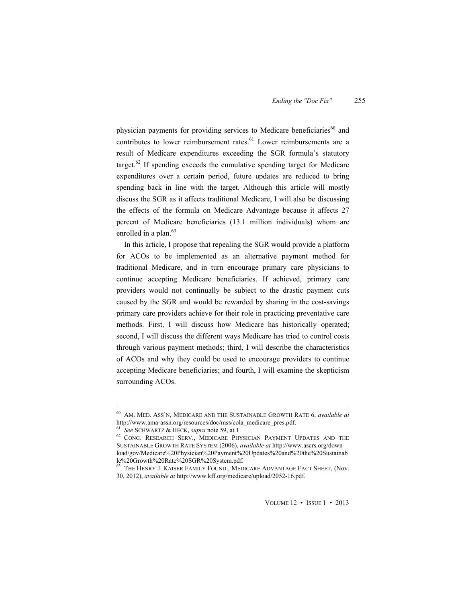physician payments for providing services to Medicare beneficiaries<sup>60</sup> and contributes to lower reimbursement rates.<sup>61</sup> Lower reimbursements are a result of Medicare expenditures exceeding the SGR formula's statutory target.62 If spending exceeds the cumulative spending target for Medicare expenditures over a certain period, future updates are reduced to bring spending back in line with the target. Although this article will mostly discuss the SGR as it affects traditional Medicare, I will also be discussing the effects of the formula on Medicare Advantage because it affects 27 percent of Medicare beneficiaries (13.1 million individuals) whom are enrolled in a plan.<sup>63</sup>

In this article, I propose that repealing the SGR would provide a platform for ACOs to be implemented as an alternative payment method for traditional Medicare, and in turn encourage primary care physicians to continue accepting Medicare beneficiaries. If achieved, primary care providers would not continually be subject to the drastic payment cuts caused by the SGR and would be rewarded by sharing in the cost-savings primary care providers achieve for their role in practicing preventative care methods. First, I will discuss how Medicare has historically operated; second, I will discuss the different ways Medicare has tried to control costs through various payment methods; third, I will describe the characteristics of ACOs and why they could be used to encourage providers to continue accepting Medicare beneficiaries; and fourth, I will examine the skepticism surrounding ACOs.

 60 AM. MED. ASS'N, MEDICARE AND THE SUSTAINABLE GROWTH RATE 6, *available at* http://www.ama-assn.org/resources/doc/mss/cola\_medicare\_pres.pdf.

<sup>&</sup>lt;sup>61</sup> See SCHWARTZ & HECK, *supra* note 59, at 1.<br><sup>62</sup> CONG. RESEARCH SERV., MEDICARE PHYSICIAN PAYMENT UPDATES AND THE SUSTAINABLE GROWTH RATE SYSTEM (2006), *available at* http://www.ascrs.org/down load/gov/Medicare%20Physician%20Payment%20Updates%20and%20the%20Sustainab le%20Growth%20Rate%20SGR%20System.pdf.

 $^{63}$  The Henry J. Kaiser Family Found., Medicare Advantage Fact Sheet, (Nov. 30, 2012), *available at* http://www.kff.org/medicare/upload/2052-16.pdf.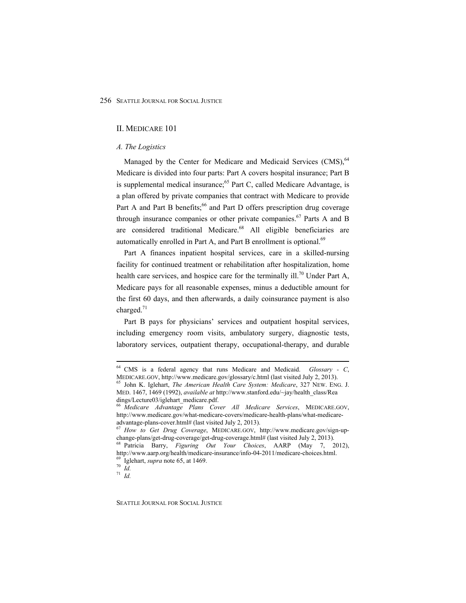#### II. MEDICARE 101

## *A. The Logistics*

Managed by the Center for Medicare and Medicaid Services (CMS),<sup>64</sup> Medicare is divided into four parts: Part A covers hospital insurance; Part B is supplemental medical insurance;<sup>65</sup> Part C, called Medicare Advantage, is a plan offered by private companies that contract with Medicare to provide Part A and Part B benefits;<sup>66</sup> and Part D offers prescription drug coverage through insurance companies or other private companies.<sup>67</sup> Parts A and B are considered traditional Medicare.<sup>68</sup> All eligible beneficiaries are automatically enrolled in Part A, and Part B enrollment is optional.<sup>69</sup>

Part A finances inpatient hospital services, care in a skilled-nursing facility for continued treatment or rehabilitation after hospitalization, home health care services, and hospice care for the terminally ill.<sup>70</sup> Under Part A, Medicare pays for all reasonable expenses, minus a deductible amount for the first 60 days, and then afterwards, a daily coinsurance payment is also charged. $71$ 

Part B pays for physicians' services and outpatient hospital services, including emergency room visits, ambulatory surgery, diagnostic tests, laboratory services, outpatient therapy, occupational-therapy, and durable

SEATTLE JOURNAL FOR SOCIAL JUSTICE

<sup>&</sup>lt;sup>64</sup> CMS is a federal agency that runs Medicare and Medicaid. *Glossary - C*, MEDICARE.GOV, http://www.medicare.gov/glossary/c.html (last visited July 2, 2013).

<sup>&</sup>lt;sup>65</sup> John K. Iglehart, *The American Health Care System: Medicare*, 327 NEW. ENG. J. MED. 1467, 1469 (1992), *available at* http://www.stanford.edu/~jay/health\_class/Rea dings/Lecture03/iglehart\_medicare.pdf.

<sup>66</sup> *Medicare Advantage Plans Cover All Medicare Services*, MEDICARE.GOV, http://www.medicare.gov/what-medicare-covers/medicare-health-plans/what-medicareadvantage-plans-cover.html# (last visited July 2, 2013).

<sup>67</sup> *How to Get Drug Coverage*, MEDICARE.GOV, http://www.medicare.gov/sign-upchange-plans/get-drug-coverage/get-drug-coverage.html# (last visited July 2, 2013). 68 Patricia Barry, *Figuring Out Your Choices*, AARP (May 7, 2012),

http://www.aarp.org/health/medicare-insurance/info-04-2011/medicare-choices.html.<br><sup>69</sup> Iglehart, *supra* note 65, at 1469.<br><sup>70</sup> *Id* 

<sup>71</sup> *Id.*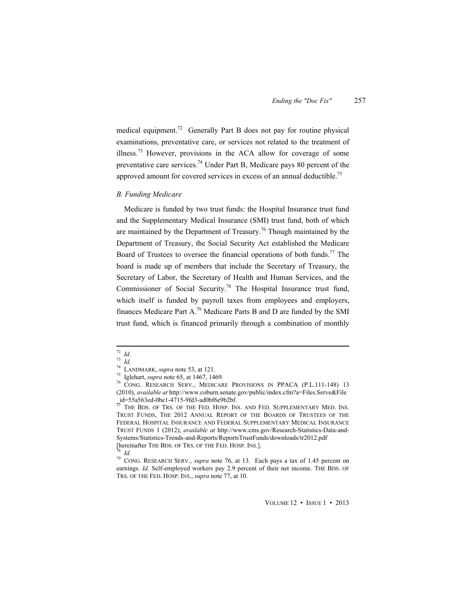medical equipment.<sup>72</sup> Generally Part B does not pay for routine physical examinations, preventative care, or services not related to the treatment of illness.<sup>73</sup> However, provisions in the ACA allow for coverage of some preventative care services.<sup>74</sup> Under Part B, Medicare pays 80 percent of the approved amount for covered services in excess of an annual deductible.<sup>75</sup>

#### *B. Funding Medicare*

Medicare is funded by two trust funds: the Hospital Insurance trust fund and the Supplementary Medical Insurance (SMI) trust fund, both of which are maintained by the Department of Treasury.<sup>76</sup> Though maintained by the Department of Treasury, the Social Security Act established the Medicare Board of Trustees to oversee the financial operations of both funds.<sup>77</sup> The board is made up of members that include the Secretary of Treasury, the Secretary of Labor, the Secretary of Health and Human Services, and the Commissioner of Social Security.78 The Hospital Insurance trust fund, which itself is funded by payroll taxes from employees and employers, finances Medicare Part A.<sup>79</sup> Medicare Parts B and D are funded by the SMI trust fund, which is financed primarily through a combination of monthly

 <sup>72</sup> *Id.*

<sup>&</sup>lt;sup>72</sup> *Id.*<br><sup>73</sup> *Id.*<br><sup>74</sup> LANDMARK, *supra* note 53, at 121.

<sup>&</sup>lt;sup>75</sup> Iglehart, *supra* note 65, at 1467, 1469.<br><sup>76</sup> CONG. RESEARCH SERV., MEDICARE PROVISIONS IN PPACA (P.L.111-148) 13 (2010), *available at* http://www.coburn.senate.gov/public/index.cfm?a=Files.Serve&File \_id=55a563ed-0be1-4715-9fd3-ad0bf6e9b2bf.

 $\overline{77}$  The Bds. of Trs. of the Fed. Hosp. Ins. and Fed. Supplementary Med. Ins. TRUST FUNDS, THE 2012 ANNUAL REPORT OF THE BOARDS OF TRUSTEES OF THE FEDERAL HOSPITAL INSURANCE AND FEDERAL SUPPLEMENTARY MEDICAL INSURANCE TRUST FUNDS 1 (2012), *available at* http://www.cms.gov/Research-Statistics-Data-and-Systems/Statistics-Trends-and-Reports/ReportsTrustFunds/downloads/tr2012.pdf [hereinafter THE BDS. OF TRS. OF THE FED. HOSP. INS.]. 78 *Id.*

<sup>79</sup> CONG. RESEARCH SERV., *supra* note 76, at 13. Each pays a tax of 1.45 percent on earnings. *Id.* Self-employed workers pay 2.9 percent of their net income. THE BDS. OF TRS. OF THE FED. HOSP. INS., *supra* note 77, at 10.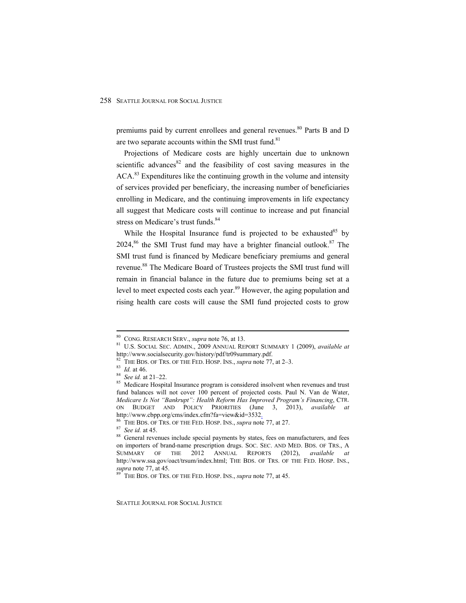premiums paid by current enrollees and general revenues.<sup>80</sup> Parts B and D are two separate accounts within the SMI trust fund.<sup>81</sup>

Projections of Medicare costs are highly uncertain due to unknown scientific advances $82$  and the feasibility of cost saving measures in the ACA.<sup>83</sup> Expenditures like the continuing growth in the volume and intensity of services provided per beneficiary, the increasing number of beneficiaries enrolling in Medicare, and the continuing improvements in life expectancy all suggest that Medicare costs will continue to increase and put financial stress on Medicare's trust funds.<sup>84</sup>

While the Hospital Insurance fund is projected to be exhausted<sup>85</sup> by 2024,<sup>86</sup> the SMI Trust fund may have a brighter financial outlook.<sup>87</sup> The SMI trust fund is financed by Medicare beneficiary premiums and general revenue.<sup>88</sup> The Medicare Board of Trustees projects the SMI trust fund will remain in financial balance in the future due to premiums being set at a level to meet expected costs each year.<sup>89</sup> However, the aging population and rising health care costs will cause the SMI fund projected costs to grow

 80 CONG. RESEARCH SERV., *supra* note 76, at 13. 81 U.S. SOCIAL SEC. ADMIN., 2009 ANNUAL REPORT SUMMARY 1 (2009), *available at* http://www.socialsecurity.gov/history/pdf/tr09summary.pdf.<br><sup>82</sup> THE BDS. OF TRS. OF THE FED. HOSP. INS., *supra* note 77, at 2–3.<br><sup>83</sup> Id. at 46.<br><sup>84</sup> See id. at 21–22.<br><sup>85</sup> Medicare Hospital Insurance program is considere

fund balances will not cover 100 percent of projected costs. Paul N. Van de Water, *Medicare Is Not "Bankrupt": Health Reform Has Improved Program's Financing*, CTR. ON BUDGET AND POLICY PRIORITIES (June 3, 2013), *available at* http://www.cbpp.org/cms/index.cfm?fa=view&id=3532.<br><sup>86</sup> THE BDS. OF TRS. OF THE FED. HOSP. INS., *supra* note 77, at 27.<br><sup>87</sup> *See id.* at 45.<br><sup>87</sup> *See id.* at 45.<br><sup>88</sup> General revenues include special payments by states,

on importers of brand-name prescription drugs. SOC. SEC. AND MED. BDS. OF TRS., A SUMMARY OF THE 2012 ANNUAL REPORTS (2012), *available at* http://www.ssa.gov/oact/trsum/index.html; THE BDS. OF TRS. OF THE FED. HOSP. INS., *supra* note 77, at 45.<br><sup>89</sup> THE BDS. OF TRS. OF THE FED. HOSP. INS., *supra* note 77, at 45.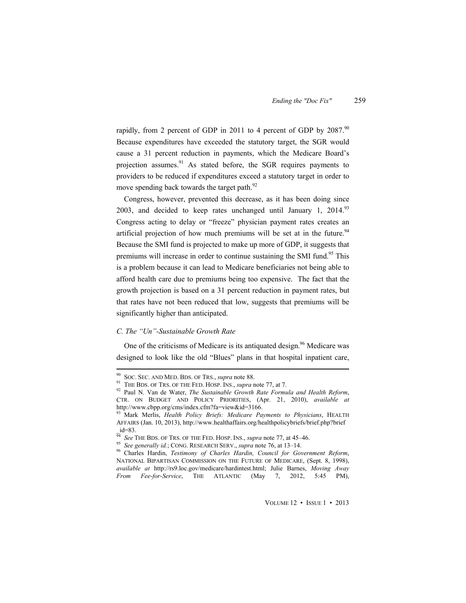rapidly, from 2 percent of GDP in 2011 to 4 percent of GDP by  $2087$ .<sup>90</sup> Because expenditures have exceeded the statutory target, the SGR would cause a 31 percent reduction in payments, which the Medicare Board's projection assumes. $91$  As stated before, the SGR requires payments to providers to be reduced if expenditures exceed a statutory target in order to move spending back towards the target path.<sup>92</sup>

Congress, however, prevented this decrease, as it has been doing since 2003, and decided to keep rates unchanged until January 1,  $2014$ <sup>93</sup> Congress acting to delay or "freeze" physician payment rates creates an artificial projection of how much premiums will be set at in the future.<sup>94</sup> Because the SMI fund is projected to make up more of GDP, it suggests that premiums will increase in order to continue sustaining the SMI fund.<sup>95</sup> This is a problem because it can lead to Medicare beneficiaries not being able to afford health care due to premiums being too expensive. The fact that the growth projection is based on a 31 percent reduction in payment rates, but that rates have not been reduced that low, suggests that premiums will be significantly higher than anticipated.

## *C. The "Un"-Sustainable Growth Rate*

One of the criticisms of Medicare is its antiquated design.<sup>96</sup> Medicare was designed to look like the old "Blues" plans in that hospital inpatient care,

 90 SOC. SEC. AND MED. BDS. OF TRS., *supra* note 88. 91 THE BDS. OF TRS. OF THE FED. HOSP. INS., *supra* note 77, at 7. 92 Paul N. Van de Water, *The Sustainable Growth Rate Formula and Health Reform*, CTR. ON BUDGET AND POLICY PRIORITIES, (Apr. 21, 2010), *available at* http://www.cbpp.org/cms/index.cfm?fa=view&id=3166.

<sup>93</sup> Mark Merlis, *Health Policy Briefs: Medicare Payments to Physicians*, HEALTH AFFAIRS (Jan. 10, 2013), http://www.healthaffairs.org/healthpolicybriefs/brief.php?brief  $id=83$ .<br>  $\frac{34}{94}$  See THE BDS. OF TRS. OF THE FED. HOSP. INS., *supra* note 77, at 45–46.

<sup>&</sup>lt;sup>95</sup> See generally id.; CONG. RESEARCH SERV., supra note 76, at 13–14.<br><sup>96</sup> Charles Hardin. *Testimony of Charles Hardin, Council for Government Reform*, NATIONAL BIPARTISAN COMMISSION ON THE FUTURE OF MEDICARE, (Sept. 8, 1998), *available at* http://rs9.loc.gov/medicare/hardintest.html; Julie Barnes, *Moving Away From Fee-for-Service*, THE ATLANTIC (May 7, 2012, 5:45 PM),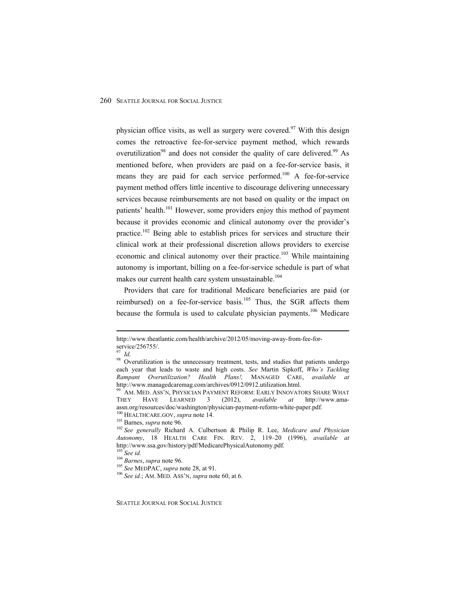physician office visits, as well as surgery were covered.<sup>97</sup> With this design comes the retroactive fee-for-service payment method, which rewards overutilization<sup>98</sup> and does not consider the quality of care delivered.<sup>99</sup> As mentioned before, when providers are paid on a fee-for-service basis, it means they are paid for each service performed.<sup>100</sup> A fee-for-service payment method offers little incentive to discourage delivering unnecessary services because reimbursements are not based on quality or the impact on patients' health.<sup>101</sup> However, some providers enjoy this method of payment because it provides economic and clinical autonomy over the provider's practice.<sup>102</sup> Being able to establish prices for services and structure their clinical work at their professional discretion allows providers to exercise economic and clinical autonomy over their practice.<sup>103</sup> While maintaining autonomy is important, billing on a fee-for-service schedule is part of what makes our current health care system unsustainable.<sup>104</sup>

Providers that care for traditional Medicare beneficiaries are paid (or reimbursed) on a fee-for-service basis.<sup>105</sup> Thus, the SGR affects them because the formula is used to calculate physician payments.<sup>106</sup> Medicare

http://www.theatlantic.com/health/archive/2012/05/moving-away-from-fee-forservice/256755/.

*Id.* 

<sup>&</sup>lt;sup>98</sup> Overutilization is the unnecessary treatment, tests, and studies that patients undergo each year that leads to waste and high costs. *See* Martin Sipkoff, *Who's Tackling Rampant Overutilization? Health Plans!,* MANAGED CARE, *available at* 

 $^{99}$  Am. Med. Ass'n, Physician Payment Reform: Early Innovators Share What THEY HAVE LEARNED 3 (2012), *available at* http://www.amaassn.org/resources/doc/washington/physician-payment-reform-white-paper.pdf.<br><sup>100</sup> HEALTHCARE.GOV, *supra* note 14.<br><sup>101</sup> Barnes, *supra* note 96.<br><sup>102</sup> See generally Richard A. Culbertson & Philip R. Lee, *Medicare and Phy* 

*Autonomy*, 18 HEALTH CARE FIN. REV. 2, 119–20 (1996), *available at* 

<sup>&</sup>lt;sup>103</sup> See id.<br><sup>104</sup> Barnes, supra note 96.<br><sup>105</sup> See MEDPAC, supra note 28, at 91.<br><sup>106</sup> See id.; AM. MED. ASS'N, supra note 60, at 6.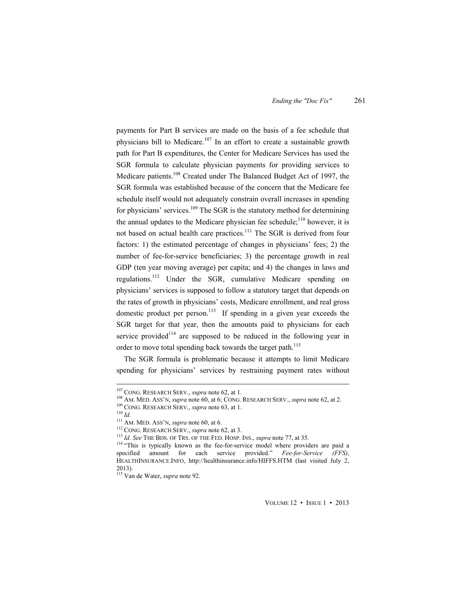payments for Part B services are made on the basis of a fee schedule that physicians bill to Medicare.<sup>107</sup> In an effort to create a sustainable growth path for Part B expenditures, the Center for Medicare Services has used the SGR formula to calculate physician payments for providing services to Medicare patients.<sup>108</sup> Created under The Balanced Budget Act of 1997, the SGR formula was established because of the concern that the Medicare fee schedule itself would not adequately constrain overall increases in spending for physicians' services.<sup>109</sup> The SGR is the statutory method for determining the annual updates to the Medicare physician fee schedule;<sup>110</sup> however, it is not based on actual health care practices.<sup>111</sup> The SGR is derived from four factors: 1) the estimated percentage of changes in physicians' fees; 2) the number of fee-for-service beneficiaries; 3) the percentage growth in real GDP (ten year moving average) per capita; and 4) the changes in laws and regulations.112 Under the SGR, cumulative Medicare spending on physicians' services is supposed to follow a statutory target that depends on the rates of growth in physicians' costs, Medicare enrollment, and real gross domestic product per person.<sup>113</sup> If spending in a given year exceeds the SGR target for that year, then the amounts paid to physicians for each service provided $114$  are supposed to be reduced in the following year in order to move total spending back towards the target path.<sup>115</sup>

The SGR formula is problematic because it attempts to limit Medicare spending for physicians' services by restraining payment rates without

<sup>&</sup>lt;sup>107</sup> CONG. RESEARCH SERV., *supra* note 62, at 1.<br><sup>108</sup> AM. MED. ASS'N, *supra* note 60, at 6; CONG. RESEARCH SERV., *supra* note 62, at 2.<br><sup>109</sup> CONG. RESEARCH SERV., *supra* note 63, at 1.<br><sup>110</sup> Id.<br><sup>111</sup> AM. MED. ASS' specified amount for each service provided." *Fee-for-Service (FFS)*, HEALTHINSURANCE.INFO, http://healthinsurance.info/HIFFS.HTM (last visited July 2, 2013).

<sup>115</sup> Van de Water, *supra* note 92.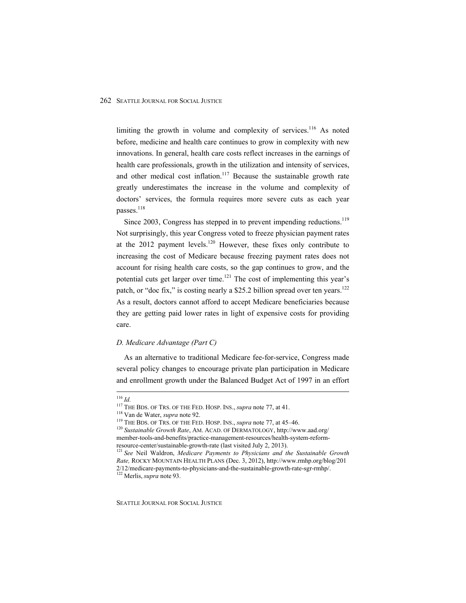limiting the growth in volume and complexity of services.<sup>116</sup> As noted before, medicine and health care continues to grow in complexity with new innovations. In general, health care costs reflect increases in the earnings of health care professionals, growth in the utilization and intensity of services, and other medical cost inflation.<sup>117</sup> Because the sustainable growth rate greatly underestimates the increase in the volume and complexity of doctors' services, the formula requires more severe cuts as each year passes.<sup>118</sup>

Since 2003, Congress has stepped in to prevent impending reductions.<sup>119</sup> Not surprisingly, this year Congress voted to freeze physician payment rates at the  $2012$  payment levels.<sup>120</sup> However, these fixes only contribute to increasing the cost of Medicare because freezing payment rates does not account for rising health care costs, so the gap continues to grow, and the potential cuts get larger over time.<sup>121</sup> The cost of implementing this year's patch, or "doc fix," is costing nearly a \$25.2 billion spread over ten years.<sup>122</sup> As a result, doctors cannot afford to accept Medicare beneficiaries because they are getting paid lower rates in light of expensive costs for providing care.

#### *D. Medicare Advantage (Part C)*

As an alternative to traditional Medicare fee-for-service, Congress made several policy changes to encourage private plan participation in Medicare and enrollment growth under the Balanced Budget Act of 1997 in an effort

<sup>&</sup>lt;sup>116</sup> *Id.*<br><sup>117</sup> THE BDS. OF TRS. OF THE FED. HOSP. INS., *supra* note 77, at 41.<br><sup>118</sup> Van de Water, *supra* note 92.<br><sup>119</sup> THE BDS. OF TRS. OF THE FED. HOSP. INS., *supra* note 77, at 45–46.<br><sup>120</sup> Sustainable Growth Ra member-tools-and-benefits/practice-management-resources/health-system-reform-<br>resource-center/sustainable-growth-rate (last visited July 2, 2013).

<sup>&</sup>lt;sup>121</sup> See Neil Waldron, *Medicare Payments to Physicians and the Sustainable Growth Rate,* ROCKY MOUNTAIN HEALTH PLANS (Dec. 3, 2012), http://www.rmhp.org/blog/201 2/12/medicare-payments-to-physicians-and-the-sustainable-growth-rate-sgr-rmhp/. 122 Merlis, *supra* note 93.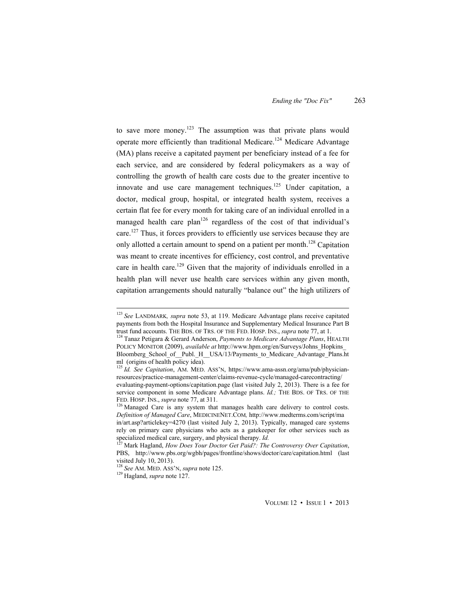to save more money.<sup>123</sup> The assumption was that private plans would operate more efficiently than traditional Medicare.124 Medicare Advantage (MA) plans receive a capitated payment per beneficiary instead of a fee for each service, and are considered by federal policymakers as a way of controlling the growth of health care costs due to the greater incentive to innovate and use care management techniques.<sup>125</sup> Under capitation, a doctor, medical group, hospital, or integrated health system, receives a certain flat fee for every month for taking care of an individual enrolled in a managed health care plan<sup>126</sup> regardless of the cost of that individual's care.<sup>127</sup> Thus, it forces providers to efficiently use services because they are only allotted a certain amount to spend on a patient per month.<sup>128</sup> Capitation was meant to create incentives for efficiency, cost control, and preventative care in health care.<sup>129</sup> Given that the majority of individuals enrolled in a health plan will never use health care services within any given month, capitation arrangements should naturally "balance out" the high utilizers of

 <sup>123</sup> *See* LANDMARK*, supra* note 53, at 119. Medicare Advantage plans receive capitated payments from both the Hospital Insurance and Supplementary Medical Insurance Part B trust fund accounts. THE BDS. OF TRS. OF THE FED. HOSP. INS., *supra* note 77, at 1. 124 Tanaz Petigara & Gerard Anderson, *Payments to Medicare Advantage Plans*, HEALTH

POLICY MONITOR (2009), *available at* http://www.hpm.org/en/Surveys/Johns\_Hopkins\_ Bloomberg\_School\_of\_\_Publ.\_H\_\_USA/13/Payments\_to\_Medicare\_Advantage\_Plans.ht ml (origins of health policy idea).

<sup>125</sup> *Id. See Capitation*, AM. MED. ASS'N, https://www.ama-assn.org/ama/pub/physicianresources/practice-management-center/claims-revenue-cycle/managed-carecontracting/ evaluating-payment-options/capitation.page (last visited July 2, 2013). There is a fee for service component in some Medicare Advantage plans. *Id.*; THE BDS. OF TRS. OF THE FED. HOSP. INS., *supra* note 77, at 311.<br><sup>126</sup> Managed Care is any system that manages health care delivery to control costs.

*Definition of Managed Care*, MEDICINENET.COM*,* http://www.medterms.com/script/ma in/art.asp?articlekey=4270 (last visited July 2, 2013). Typically, managed care systems rely on primary care physicians who acts as a gatekeeper for other services such as specialized medical care, surgery, and physical therapy. *Id.* 127 Mark Hagland, *How Does Your Doctor Get Paid?: The Controversy Over Capitation*,

PBS, http://www.pbs.org/wgbh/pages/frontline/shows/doctor/care/capitation.html (last visited July 10, 2013).

<sup>128</sup> *See* AM. MED. ASS'N, *supra* note 125. 129 Hagland, *supra* note 127.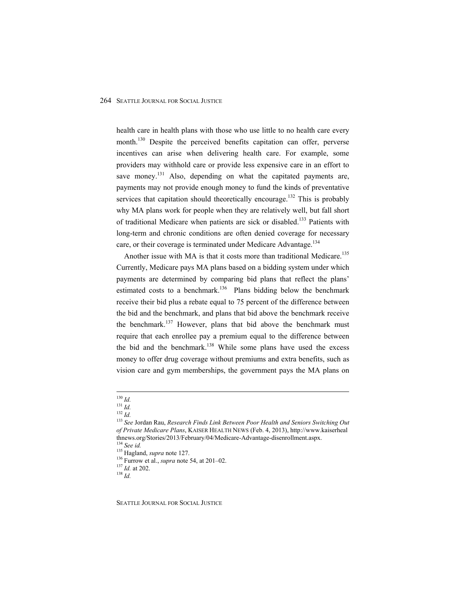health care in health plans with those who use little to no health care every month.<sup>130</sup> Despite the perceived benefits capitation can offer, perverse incentives can arise when delivering health care. For example, some providers may withhold care or provide less expensive care in an effort to save money.<sup>131</sup> Also, depending on what the capitated payments are, payments may not provide enough money to fund the kinds of preventative services that capitation should theoretically encourage.<sup>132</sup> This is probably why MA plans work for people when they are relatively well, but fall short of traditional Medicare when patients are sick or disabled.<sup>133</sup> Patients with long-term and chronic conditions are often denied coverage for necessary care, or their coverage is terminated under Medicare Advantage.<sup>134</sup>

Another issue with MA is that it costs more than traditional Medicare.<sup>135</sup> Currently, Medicare pays MA plans based on a bidding system under which payments are determined by comparing bid plans that reflect the plans' estimated costs to a benchmark.<sup>136</sup> Plans bidding below the benchmark receive their bid plus a rebate equal to 75 percent of the difference between the bid and the benchmark, and plans that bid above the benchmark receive the benchmark.137 However, plans that bid above the benchmark must require that each enrollee pay a premium equal to the difference between the bid and the benchmark.<sup>138</sup> While some plans have used the excess money to offer drug coverage without premiums and extra benefits, such as vision care and gym memberships, the government pays the MA plans on

<sup>&</sup>lt;sup>130</sup> Id.<br><sup>131</sup> Id.<br><sup>132</sup> Id.<br><sup>133</sup> See Jordan Rau, *Research Finds Link Between Poor Health and Seniors Switching Out of Private Medicare Plans*, KAISER HEALTH NEWS (Feb. 4, 2013), http://www.kaiserheal thnews.org/Stories/2013/February/04/Medicare-Advantage-disenrollment.aspx. <sup>134</sup> *See id.* 135 Hagland, *supra* note 127. <sup>136</sup> Furrow et al., *supra* note 54, at 201–02. <sup>137</sup> *Id.* at 202. <sup>138</sup> *Id.*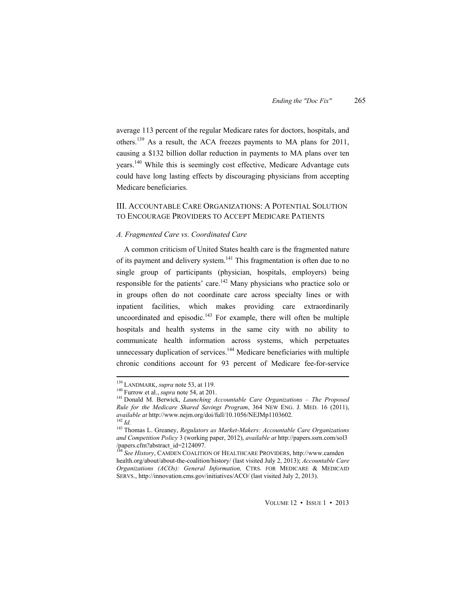average 113 percent of the regular Medicare rates for doctors, hospitals, and others.139 As a result, the ACA freezes payments to MA plans for 2011, causing a \$132 billion dollar reduction in payments to MA plans over ten years.140 While this is seemingly cost effective, Medicare Advantage cuts could have long lasting effects by discouraging physicians from accepting Medicare beneficiaries.

# III. ACCOUNTABLE CARE ORGANIZATIONS: A POTENTIAL SOLUTION TO ENCOURAGE PROVIDERS TO ACCEPT MEDICARE PATIENTS

#### *A. Fragmented Care vs. Coordinated Care*

A common criticism of United States health care is the fragmented nature of its payment and delivery system.<sup>141</sup> This fragmentation is often due to no single group of participants (physician, hospitals, employers) being responsible for the patients' care.<sup>142</sup> Many physicians who practice solo or in groups often do not coordinate care across specialty lines or with inpatient facilities, which makes providing care extraordinarily uncoordinated and episodic. $143$  For example, there will often be multiple hospitals and health systems in the same city with no ability to communicate health information across systems, which perpetuates unnecessary duplication of services.<sup>144</sup> Medicare beneficiaries with multiple chronic conditions account for 93 percent of Medicare fee-for-service

<sup>&</sup>lt;sup>139</sup> LANDMARK, *supra* note 53, at 119.<br><sup>140</sup> Furrow et al., *supra* note 54, at 201.<br><sup>141</sup> Donald M. Berwick, *Launching Accountable Care Organizations – The Proposed Rule for the Medicare Shared Savings Program*, 364 NEW ENG. J. MED. 16 (2011), *available at http://www.nejm.org/doi/full/10.1056/NEJMp1103602.*<br><sup>142</sup> *Id.* 143 Thomas L. Greaney, *Regulators as Market-Makers: Accountable Care Organizations* 

*and Competition Policy* 3 (working paper, 2012), *available at* http://papers.ssrn.com/sol3 /papers.cfm?abstract\_id=2124097.

<sup>144</sup> *See History*, CAMDEN COALITION OF HEALTHCARE PROVIDERS, http://www.camden health.org/about/about-the-coalition/history/ (last visited July 2, 2013); *Accountable Care Organizations (ACOs): General Information,* CTRS. FOR MEDICARE & MEDICAID SERVS., http://innovation.cms.gov/initiatives/ACO/ (last visited July 2, 2013).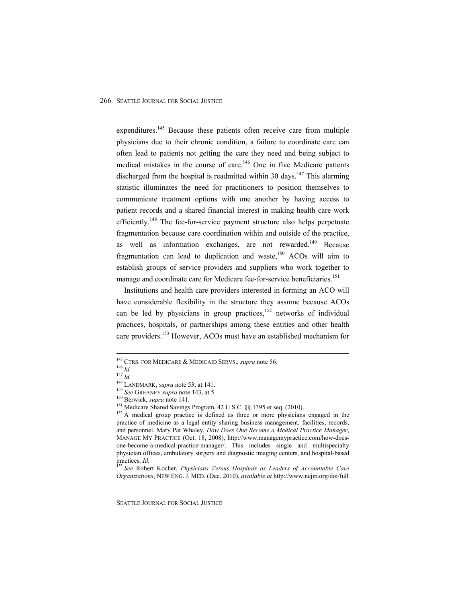expenditures.<sup>145</sup> Because these patients often receive care from multiple physicians due to their chronic condition, a failure to coordinate care can often lead to patients not getting the care they need and being subject to medical mistakes in the course of care.<sup>146</sup> One in five Medicare patients discharged from the hospital is readmitted within 30 days.<sup>147</sup> This alarming statistic illuminates the need for practitioners to position themselves to communicate treatment options with one another by having access to patient records and a shared financial interest in making health care work efficiently.<sup>148</sup> The fee-for-service payment structure also helps perpetuate fragmentation because care coordination within and outside of the practice, as well as information exchanges, are not rewarded.<sup>149</sup> Because fragmentation can lead to duplication and waste, $150$  ACOs will aim to establish groups of service providers and suppliers who work together to manage and coordinate care for Medicare fee-for-service beneficiaries.<sup>151</sup>

Institutions and health care providers interested in forming an ACO will have considerable flexibility in the structure they assume because ACOs can be led by physicians in group practices,<sup>152</sup> networks of individual practices, hospitals, or partnerships among these entities and other health care providers.<sup>153</sup> However, ACOs must have an established mechanism for

<sup>&</sup>lt;sup>145</sup> CTRS. FOR MEDICARE & MEDICAID SERVS., *supra* note 56.<br><sup>146</sup> *Id.*<br><sup>147</sup> *Id.*<br><sup>147</sup> *Id.*<br><sup>148</sup> LANDMARK, *supra* note 53, at 141.<br><sup>149</sup> *See* GREANEY *supra* note 143, at 5.<br><sup>150</sup> Berwick, *supra* note 141.<br><sup>151</sup> practice of medicine as a legal entity sharing business management, facilities, records, and personnel. Mary Pat Whaley, *How Does One Become a Medical Practice Manager*, MANAGE MY PRACTICE (Oct. 18, 2008), http://www.managemypractice.com/how-doesone-become-a-medical-practice-manager/. This includes single and multispecialty physician offices, ambulatory surgery and diagnostic imaging centers, and hospital-based

practices. *Id.* <sup>153</sup> *See* Robert Kocher, *Physicians Versus Hospitals as Leaders of Accountable Care Organizations*, NEW ENG. J. MED. (Dec. 2010), *available at* http://www.nejm.org/doi/full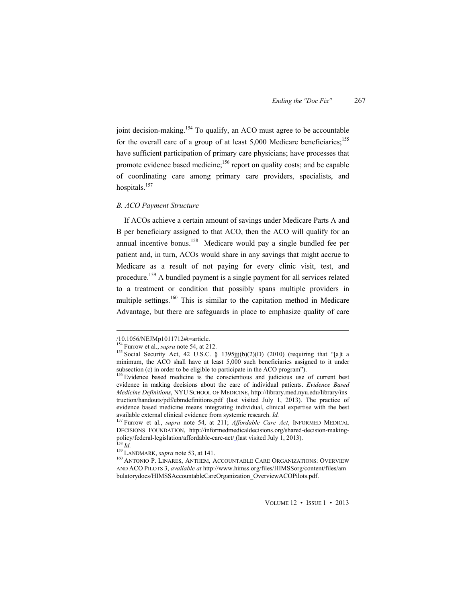joint decision-making.<sup>154</sup> To qualify, an ACO must agree to be accountable for the overall care of a group of at least  $5,000$  Medicare beneficiaries;<sup>155</sup> have sufficient participation of primary care physicians; have processes that promote evidence based medicine;<sup>156</sup> report on quality costs; and be capable of coordinating care among primary care providers, specialists, and hospitals. $157$ 

#### *B. ACO Payment Structure*

If ACOs achieve a certain amount of savings under Medicare Parts A and B per beneficiary assigned to that ACO, then the ACO will qualify for an annual incentive bonus.<sup>158</sup> Medicare would pay a single bundled fee per patient and, in turn, ACOs would share in any savings that might accrue to Medicare as a result of not paying for every clinic visit, test, and procedure.159 A bundled payment is a single payment for all services related to a treatment or condition that possibly spans multiple providers in multiple settings.<sup>160</sup> This is similar to the capitation method in Medicare Advantage, but there are safeguards in place to emphasize quality of care

<sup>/10.1056/</sup>NEJMp1011712#t=article.<br><sup>154</sup> Furrow et al., *supra* note 54, at 212.

<sup>&</sup>lt;sup>155</sup> Social Security Act, 42 U.S.C. § 1395jjj(b)(2)(D) (2010) (requiring that "[a]t a minimum, the ACO shall have at least 5,000 such beneficiaries assigned to it under subsection (c) in order to be eligible to participate in the ACO program").  $156$  Evidence based medicine is the conscientious and judicious use of current best

evidence in making decisions about the care of individual patients. *Evidence Based Medicine Definitions*, NYU SCHOOL OF MEDICINE, http://library.med.nyu.edu/library/ins truction/handouts/pdf/ebmdefinitions.pdf (last visited July 1, 2013). The practice of evidence based medicine means integrating individual, clinical expertise with the best available external clinical evidence from systemic research.  $Id$ .

<sup>&</sup>lt;sup>157</sup> Furrow et al., *supra* note 54, at 211; *Affordable Care Act*, INFORMED MEDICAL DECISIONS FOUNDATION, http://informedmedicaldecisions.org/shared-decision-makingpolicy/federal-legislation/affordable-care-act/ (last visited July 1, 2013).<br><sup>158</sup> *Id.* 159 LANDMARK, *supra* note 53, at 141.<br><sup>160</sup> ANTONIO P. LINARES, ANTHEM, ACCOUNTABLE CARE ORGANIZATIONS: OVERVIEW

AND ACO PILOTS 3, *available at* http://www.himss.org/files/HIMSSorg/content/files/am bulatorydocs/HIMSSAccountableCareOrganization\_OverviewACOPilots.pdf.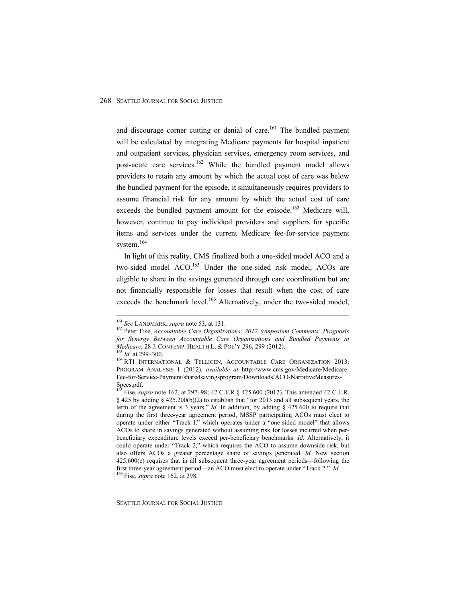and discourage corner cutting or denial of care.<sup>161</sup> The bundled payment will be calculated by integrating Medicare payments for hospital inpatient and outpatient services, physician services, emergency room services, and post-acute care services.<sup>162</sup> While the bundled payment model allows providers to retain any amount by which the actual cost of care was below the bundled payment for the episode, it simultaneously requires providers to assume financial risk for any amount by which the actual cost of care exceeds the bundled payment amount for the episode.<sup>163</sup> Medicare will, however, continue to pay individual providers and suppliers for specific items and services under the current Medicare fee-for-service payment system.<sup>164</sup>

In light of this reality, CMS finalized both a one-sided model ACO and a two-sided model ACO.<sup>165</sup> Under the one-sided risk model, ACOs are eligible to share in the savings generated through care coordination but are not financially responsible for losses that result when the cost of care exceeds the benchmark level.<sup>166</sup> Alternatively, under the two-sided model,

<sup>&</sup>lt;sup>161</sup> See LANDMARK, *supra* note 53, at 131.<br><sup>162</sup> Peter Fise, *Accountable Care Organizations: 2012 Symposium Comments: Prognosis for Synergy Between Accountable Care Organizations and Bundled Payments in Medicare*, 28 J. CONTEMP. HEALTH L. & POL'Y 296, 299 (2012).<br><sup>163</sup> *Id.* at 299–300.<br><sup>164</sup> RTI INTERNATIONAL & TELLIGEN, ACCOUNTABLE CARE ORGANIZATION 2013:

PROGRAM ANALYSIS 1 (2012). *available at* http://www.cms.gov/Medicare/Medicare-Fee-for-Service-Payment/sharedsavingsprogram/Downloads/ACO-NarrativeMeasures-Specs.pdf.

<sup>165</sup> Fise, *supra* note 162, at 297–98; 42 C.F.R § 425.600 (2012). This amended 42 C.F.R.  $§$  425 by adding  $§$  425.200(b)(2) to establish that "for 2013 and all subsequent years, the term of the agreement is 3 years." *Id.* In addition, by adding § 425.600 to require that during the first three-year agreement period, MSSP participating ACOs must elect to operate under either "Track I," which operates under a "one-sided model" that allows ACOs to share in savings generated without assuming risk for losses incurred when perbeneficiary expenditure levels exceed per-beneficiary benchmarks. *Id.* Alternatively, it could operate under "Track 2," which requires the ACO to assume downside risk, but also offers ACOs a greater percentage share of savings generated. *Id.* New section 425.600(c) requires that in all subsequent three-year agreement periods—following the first three-year agreement period—an ACO must elect to operate under "Track 2." *Id.* 166 Fise, *supra* note 162, at 298.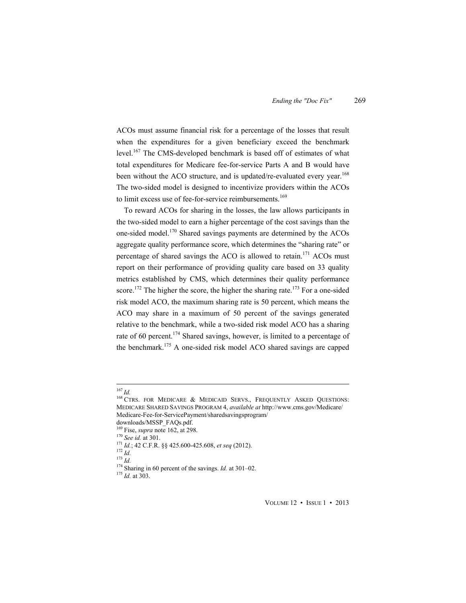ACOs must assume financial risk for a percentage of the losses that result when the expenditures for a given beneficiary exceed the benchmark level.<sup>167</sup> The CMS-developed benchmark is based off of estimates of what total expenditures for Medicare fee-for-service Parts A and B would have been without the ACO structure, and is updated/re-evaluated every year.<sup>168</sup> The two-sided model is designed to incentivize providers within the ACOs to limit excess use of fee-for-service reimbursements.<sup>169</sup>

To reward ACOs for sharing in the losses, the law allows participants in the two-sided model to earn a higher percentage of the cost savings than the one-sided model.<sup>170</sup> Shared savings payments are determined by the ACOs aggregate quality performance score, which determines the "sharing rate" or percentage of shared savings the ACO is allowed to retain.<sup>171</sup> ACOs must report on their performance of providing quality care based on 33 quality metrics established by CMS, which determines their quality performance score.<sup>172</sup> The higher the score, the higher the sharing rate.<sup>173</sup> For a one-sided risk model ACO, the maximum sharing rate is 50 percent, which means the ACO may share in a maximum of 50 percent of the savings generated relative to the benchmark, while a two-sided risk model ACO has a sharing rate of 60 percent.<sup>174</sup> Shared savings, however, is limited to a percentage of the benchmark.175 A one-sided risk model ACO shared savings are capped

<sup>&</sup>lt;sup>167</sup>*Id. 168* CTRS. FOR MEDICARE & MEDICAID SERVS., FREQUENTLY ASKED QUESTIONS: MEDICARE SHARED SAVINGS PROGRAM 4, *available at* http://www.cms.gov/Medicare/ Medicare-Fee-for-ServicePayment/sharedsavingsprogram/

downloads/MSSP\_FAQs.pdf.<br><sup>169</sup> Fise, *supra* note 162, at 298.

<sup>&</sup>lt;sup>170</sup> See id. at 301.<br>
<sup>171</sup> *Id.*; 42 C.F.R. §§ 425.600-425.608, et seq (2012).<br>
<sup>172</sup> *Id.*<br>
<sup>173</sup> *Id.*<br>
<sup>174</sup> Sharing in 60 percent of the savings. *Id.* at 301–02.<br>
<sup>175</sup> *Id.* at 303.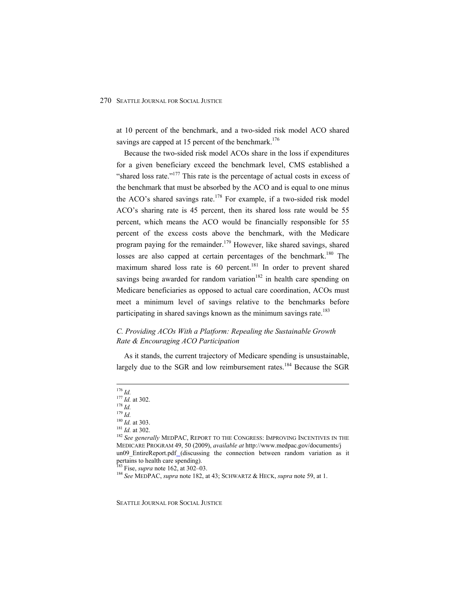at 10 percent of the benchmark, and a two-sided risk model ACO shared savings are capped at 15 percent of the benchmark.<sup>176</sup>

Because the two-sided risk model ACOs share in the loss if expenditures for a given beneficiary exceed the benchmark level, CMS established a "shared loss rate."<sup>177</sup> This rate is the percentage of actual costs in excess of the benchmark that must be absorbed by the ACO and is equal to one minus the ACO's shared savings rate.<sup>178</sup> For example, if a two-sided risk model ACO's sharing rate is 45 percent, then its shared loss rate would be 55 percent, which means the ACO would be financially responsible for 55 percent of the excess costs above the benchmark, with the Medicare program paying for the remainder.<sup>179</sup> However, like shared savings, shared losses are also capped at certain percentages of the benchmark.<sup>180</sup> The maximum shared loss rate is  $60$  percent.<sup>181</sup> In order to prevent shared savings being awarded for random variation<sup>182</sup> in health care spending on Medicare beneficiaries as opposed to actual care coordination, ACOs must meet a minimum level of savings relative to the benchmarks before participating in shared savings known as the minimum savings rate.<sup>183</sup>

# *C. Providing ACOs With a Platform: Repealing the Sustainable Growth Rate & Encouraging ACO Participation*

As it stands, the current trajectory of Medicare spending is unsustainable, largely due to the SGR and low reimbursement rates.<sup>184</sup> Because the SGR

<sup>1&</sup>lt;sup>76</sup> *Id.*<br><sup>176</sup> *Id.* at 302.<br><sup>178</sup> *Id.* at 303.<br><sup>181</sup> *Id.* at 303.<br><sup>181</sup> *Id.* at 302.<br><sup>182</sup> *See generally* MEDPAC, REPORT TO THE CONGRESS: IMPROVING INCENTIVES IN THE MEDICARE PROGRAM 49, 50 (2009), *available at* http://www.medpac.gov/documents/j un09 EntireReport.pdf (discussing the connection between random variation as it pertains to health care spending).<br><sup>183</sup> Fise, *supra* note 162, at 302–03.

<sup>&</sup>lt;sup>184</sup> See MEDPAC, *supra* note 182, at 43; SCHWARTZ & HECK, *supra* note 59, at 1.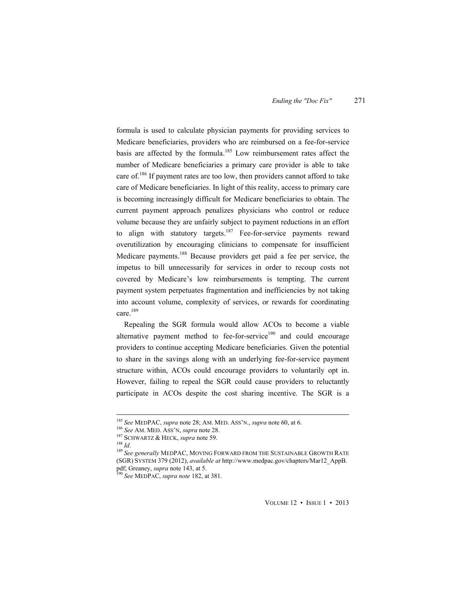formula is used to calculate physician payments for providing services to Medicare beneficiaries, providers who are reimbursed on a fee-for-service basis are affected by the formula.<sup>185</sup> Low reimbursement rates affect the number of Medicare beneficiaries a primary care provider is able to take care of.<sup>186</sup> If payment rates are too low, then providers cannot afford to take care of Medicare beneficiaries. In light of this reality, access to primary care is becoming increasingly difficult for Medicare beneficiaries to obtain. The current payment approach penalizes physicians who control or reduce volume because they are unfairly subject to payment reductions in an effort to align with statutory targets.<sup>187</sup> Fee-for-service payments reward overutilization by encouraging clinicians to compensate for insufficient Medicare payments.<sup>188</sup> Because providers get paid a fee per service, the impetus to bill unnecessarily for services in order to recoup costs not covered by Medicare's low reimbursements is tempting. The current payment system perpetuates fragmentation and inefficiencies by not taking into account volume, complexity of services, or rewards for coordinating care.<sup>189</sup>

Repealing the SGR formula would allow ACOs to become a viable alternative payment method to fee-for-service<sup>190</sup> and could encourage providers to continue accepting Medicare beneficiaries. Given the potential to share in the savings along with an underlying fee-for-service payment structure within, ACOs could encourage providers to voluntarily opt in. However, failing to repeal the SGR could cause providers to reluctantly participate in ACOs despite the cost sharing incentive. The SGR is a

<sup>&</sup>lt;sup>185</sup> See MEDPAC, *supra* note 28; AM. MED. ASS'N., *supra* note 60, at 6.<br><sup>186</sup> See AM. MED. ASS'N, *supra* note 28.<br><sup>187</sup> SCHWARTZ & HECK, *supra* note 59.<br><sup>188</sup> Id.<br><sup>189</sup> See generally MEDPAC, MOVING FORWARD FROM THE S (SGR) SYSTEM 379 (2012), *available at* http://www.medpac.gov/chapters/Mar12\_AppB. pdf; Greaney, *supra* note 143, at 5. 190 *See* MEDPAC, *supra note* 182, at 381.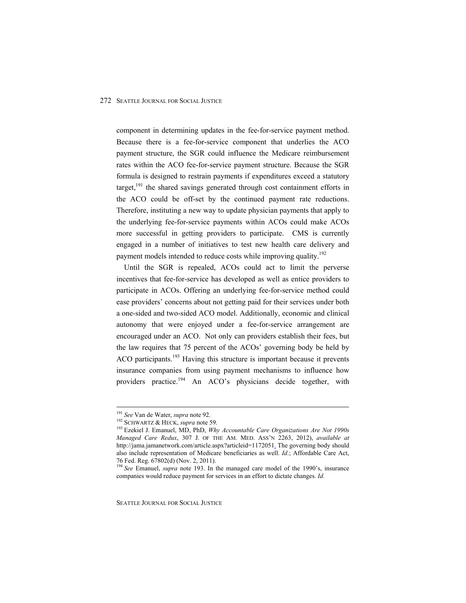component in determining updates in the fee-for-service payment method. Because there is a fee-for-service component that underlies the ACO payment structure, the SGR could influence the Medicare reimbursement rates within the ACO fee-for-service payment structure. Because the SGR formula is designed to restrain payments if expenditures exceed a statutory target,<sup>191</sup> the shared savings generated through cost containment efforts in the ACO could be off-set by the continued payment rate reductions. Therefore, instituting a new way to update physician payments that apply to the underlying fee-for-service payments within ACOs could make ACOs more successful in getting providers to participate. CMS is currently engaged in a number of initiatives to test new health care delivery and payment models intended to reduce costs while improving quality.<sup>192</sup>

Until the SGR is repealed, ACOs could act to limit the perverse incentives that fee-for-service has developed as well as entice providers to participate in ACOs. Offering an underlying fee-for-service method could ease providers' concerns about not getting paid for their services under both a one-sided and two-sided ACO model. Additionally, economic and clinical autonomy that were enjoyed under a fee-for-service arrangement are encouraged under an ACO. Not only can providers establish their fees, but the law requires that 75 percent of the ACOs' governing body be held by ACO participants.<sup>193</sup> Having this structure is important because it prevents insurance companies from using payment mechanisms to influence how providers practice.<sup>194</sup> An ACO's physicians decide together, with

<sup>&</sup>lt;sup>191</sup> See Van de Water, *supra* note 92.<br><sup>192</sup> SCHWARTZ & HECK, *supra* note 59.<br><sup>193</sup> Ezekiel J. Emanuel, MD, PhD, *Why Accountable Care Organizations Are Not 1990s Managed Care Redux*, 307 J. OF THE AM. MED. ASS'N 2263, 2012), *available at*  http://jama.jamanetwork.com/article.aspx?articleid=1172051. The governing body should also include representation of Medicare beneficiaries as well. *Id*.; Affordable Care Act, 76 Fed. Reg. 67802(d) (Nov. 2, 2011).

<sup>194</sup> *See* Emanuel, *supra* note 193. In the managed care model of the 1990's, insurance companies would reduce payment for services in an effort to dictate changes. *Id.*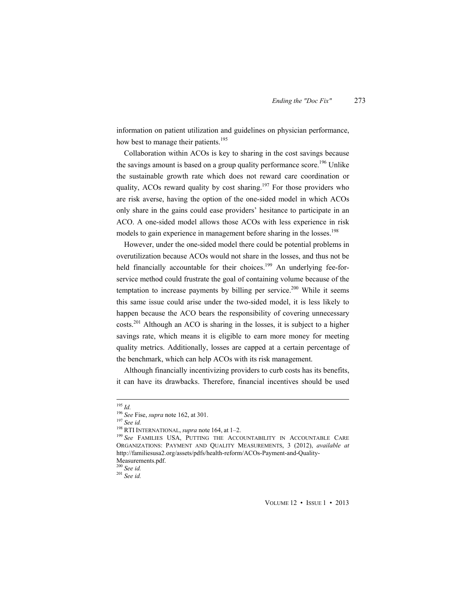information on patient utilization and guidelines on physician performance, how best to manage their patients.<sup>195</sup>

Collaboration within ACOs is key to sharing in the cost savings because the savings amount is based on a group quality performance score.<sup>196</sup> Unlike the sustainable growth rate which does not reward care coordination or quality, ACOs reward quality by cost sharing.<sup>197</sup> For those providers who are risk averse, having the option of the one-sided model in which ACOs only share in the gains could ease providers' hesitance to participate in an ACO. A one-sided model allows those ACOs with less experience in risk models to gain experience in management before sharing in the losses.<sup>198</sup>

However, under the one-sided model there could be potential problems in overutilization because ACOs would not share in the losses, and thus not be held financially accountable for their choices.<sup>199</sup> An underlying fee-forservice method could frustrate the goal of containing volume because of the temptation to increase payments by billing per service.<sup>200</sup> While it seems this same issue could arise under the two-sided model, it is less likely to happen because the ACO bears the responsibility of covering unnecessary  $costs<sup>201</sup>$  Although an ACO is sharing in the losses, it is subject to a higher savings rate, which means it is eligible to earn more money for meeting quality metrics. Additionally, losses are capped at a certain percentage of the benchmark, which can help ACOs with its risk management.

Although financially incentivizing providers to curb costs has its benefits, it can have its drawbacks. Therefore, financial incentives should be used

VOLUME 12 • ISSUE 1 • 2013

<sup>&</sup>lt;sup>195</sup> Id.<br><sup>196</sup> See Fise, *supra* note 162, at 301.<br><sup>197</sup> See id.<br><sup>198</sup> RTI INTERNATIONAL, *supra* note 164, at 1–2.<br><sup>199</sup> See FAMILIES USA, PUTTING THE ACCOUNTABILITY IN ACCOUNTABLE CARE ORGANIZATIONS: PAYMENT AND QUALITY MEASUREMENTS, 3 (2012), *available at*  http://familiesusa2.org/assets/pdfs/health-reform/ACOs-Payment-and-Quality-

Measurements.pdf.<br><sup>200</sup> See id.

<sup>200</sup> *See id.* <sup>201</sup> *See id.*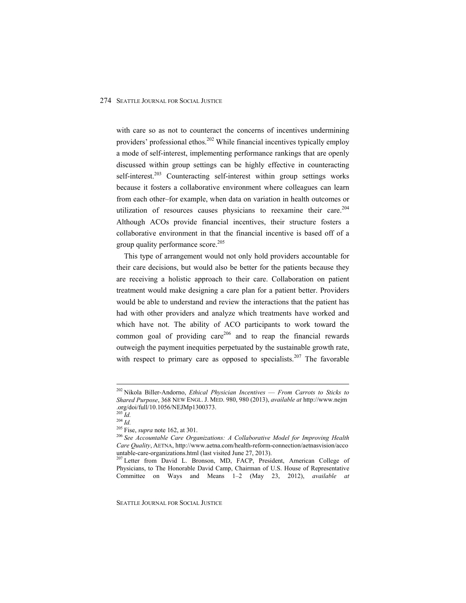with care so as not to counteract the concerns of incentives undermining providers' professional ethos.<sup>202</sup> While financial incentives typically employ a mode of self-interest, implementing performance rankings that are openly discussed within group settings can be highly effective in counteracting self-interest.<sup>203</sup> Counteracting self-interest within group settings works because it fosters a collaborative environment where colleagues can learn from each other–for example, when data on variation in health outcomes or utilization of resources causes physicians to reexamine their care.<sup>204</sup> Although ACOs provide financial incentives, their structure fosters a collaborative environment in that the financial incentive is based off of a group quality performance score.<sup>205</sup>

This type of arrangement would not only hold providers accountable for their care decisions, but would also be better for the patients because they are receiving a holistic approach to their care. Collaboration on patient treatment would make designing a care plan for a patient better. Providers would be able to understand and review the interactions that the patient has had with other providers and analyze which treatments have worked and which have not. The ability of ACO participants to work toward the common goal of providing care<sup>206</sup> and to reap the financial rewards outweigh the payment inequities perpetuated by the sustainable growth rate, with respect to primary care as opposed to specialists.<sup>207</sup> The favorable

SEATTLE JOURNAL FOR SOCIAL JUSTICE

 202 Nikola Biller-Andorno, *Ethical Physician Incentives* — *From Carrots to Sticks to Shared Purpose*, 368 NEW ENGL. J. MED. 980, 980 (2013), *available at* http://www.nejm .org/doi/full/10.1056/NEJMp1300373.<br><sup>203</sup> Id.

<sup>203</sup> *Id.* <sup>204</sup> *Id.* 205 Fise, *supra* note 162, at 301. 206 *See Accountable Care Organizations: A Collaborative Model for Improving Health Care Quality*, AETNA, http://www.aetna.com/health-reform-connection/aetnasvision/acco untable-care-organizations.html (last visited June 27, 2013).

<sup>&</sup>lt;sup>207</sup> Letter from David L. Bronson, MD, FACP, President, American College of Physicians, to The Honorable David Camp, Chairman of U.S. House of Representative Committee on Ways and Means 1–2 (May 23, 2012), *available at*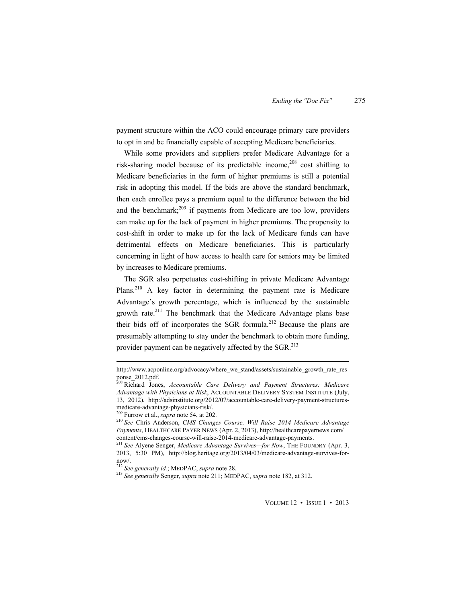payment structure within the ACO could encourage primary care providers to opt in and be financially capable of accepting Medicare beneficiaries.

While some providers and suppliers prefer Medicare Advantage for a risk-sharing model because of its predictable income.<sup>208</sup> cost shifting to Medicare beneficiaries in the form of higher premiums is still a potential risk in adopting this model. If the bids are above the standard benchmark, then each enrollee pays a premium equal to the difference between the bid and the benchmark; $209$  if payments from Medicare are too low, providers can make up for the lack of payment in higher premiums. The propensity to cost-shift in order to make up for the lack of Medicare funds can have detrimental effects on Medicare beneficiaries. This is particularly concerning in light of how access to health care for seniors may be limited by increases to Medicare premiums.

The SGR also perpetuates cost-shifting in private Medicare Advantage Plans.<sup>210</sup> A key factor in determining the payment rate is Medicare Advantage's growth percentage, which is influenced by the sustainable growth rate.<sup>211</sup> The benchmark that the Medicare Advantage plans base their bids off of incorporates the SGR formula.212 Because the plans are presumably attempting to stay under the benchmark to obtain more funding, provider payment can be negatively affected by the SGR.<sup>213</sup>

 http://www.acponline.org/advocacy/where\_we\_stand/assets/sustainable\_growth\_rate\_res ponse\_2012.pdf.

<sup>208</sup> Richard Jones, *Accountable Care Delivery and Payment Structures: Medicare Advantage with Physicians at Risk*, ACCOUNTABLE DELIVERY SYSTEM INSTITUTE (July, 13, 2012), http://adsinstitute.org/2012/07/accountable-care-delivery-payment-structuresmedicare-advantage-physicians-risk/.<br><sup>209</sup> Furrow et al., *supra* note 54, at 202.

<sup>&</sup>lt;sup>210</sup> See Chris Anderson, *CMS Changes Course, Will Raise 2014 Medicare Advantage Payments*, HEALTHCARE PAYER NEWS (Apr. 2, 2013), http://healthcarepayernews.com/ content/cms-changes-course-will-raise-2014-medicare-advantage-payments.

<sup>211</sup> *See* Alyene Senger, *Medicare Advantage Survives—for Now*, THE FOUNDRY (Apr. 3, 2013, 5:30 PM), http://blog.heritage.org/2013/04/03/medicare-advantage-survives-fornow/.<br><sup>212</sup> See generally id.; MEDPAC, supra note 28.

<sup>212</sup> *See generally id.*; MEDPAC, *supra* note 28. 213 *See generally* Senger, *supra* note 211; MEDPAC, *supra* note 182, at 312.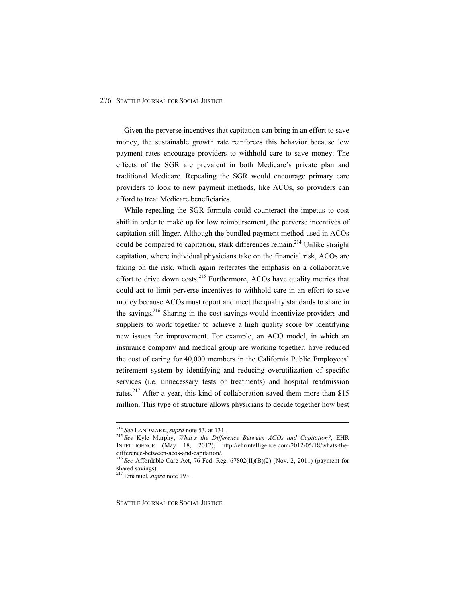Given the perverse incentives that capitation can bring in an effort to save money, the sustainable growth rate reinforces this behavior because low payment rates encourage providers to withhold care to save money. The effects of the SGR are prevalent in both Medicare's private plan and traditional Medicare. Repealing the SGR would encourage primary care providers to look to new payment methods, like ACOs, so providers can afford to treat Medicare beneficiaries.

While repealing the SGR formula could counteract the impetus to cost shift in order to make up for low reimbursement, the perverse incentives of capitation still linger. Although the bundled payment method used in ACOs could be compared to capitation, stark differences remain.<sup>214</sup> Unlike straight capitation, where individual physicians take on the financial risk, ACOs are taking on the risk, which again reiterates the emphasis on a collaborative effort to drive down costs.<sup>215</sup> Furthermore, ACOs have quality metrics that could act to limit perverse incentives to withhold care in an effort to save money because ACOs must report and meet the quality standards to share in the savings.<sup>216</sup> Sharing in the cost savings would incentivize providers and suppliers to work together to achieve a high quality score by identifying new issues for improvement. For example, an ACO model, in which an insurance company and medical group are working together, have reduced the cost of caring for 40,000 members in the California Public Employees' retirement system by identifying and reducing overutilization of specific services (i.e. unnecessary tests or treatments) and hospital readmission rates.<sup>217</sup> After a year, this kind of collaboration saved them more than \$15 million. This type of structure allows physicians to decide together how best

 <sup>214</sup> *See* LANDMARK, *supra* note 53, at 131. 215 *See* Kyle Murphy, *What's the Difference Between ACOs and Capitation?,* EHR INTELLIGENCE (May 18, 2012), http://ehrintelligence.com/2012/05/18/whats-thedifference-between-acos-and-capitation/.

<sup>216</sup> *See* Affordable Care Act, 76 Fed. Reg. 67802(II)(B)(2) (Nov. 2, 2011) (payment for shared savings).

<sup>217</sup> Emanuel, *supra* note 193.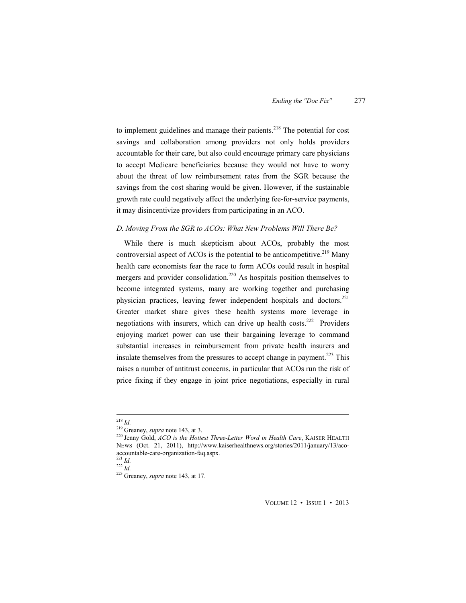to implement guidelines and manage their patients.<sup>218</sup> The potential for cost savings and collaboration among providers not only holds providers accountable for their care, but also could encourage primary care physicians to accept Medicare beneficiaries because they would not have to worry about the threat of low reimbursement rates from the SGR because the savings from the cost sharing would be given. However, if the sustainable growth rate could negatively affect the underlying fee-for-service payments, it may disincentivize providers from participating in an ACO.

## *D. Moving From the SGR to ACOs: What New Problems Will There Be?*

While there is much skepticism about ACOs, probably the most controversial aspect of ACOs is the potential to be anticompetitive.<sup>219</sup> Many health care economists fear the race to form ACOs could result in hospital mergers and provider consolidation.<sup>220</sup> As hospitals position themselves to become integrated systems, many are working together and purchasing physician practices, leaving fewer independent hospitals and doctors.<sup>221</sup> Greater market share gives these health systems more leverage in negotiations with insurers, which can drive up health costs.<sup>222</sup> Providers enjoying market power can use their bargaining leverage to command substantial increases in reimbursement from private health insurers and insulate themselves from the pressures to accept change in payment.<sup>223</sup> This raises a number of antitrust concerns, in particular that ACOs run the risk of price fixing if they engage in joint price negotiations, especially in rural

VOLUME 12 • ISSUE 1 • 2013

<sup>&</sup>lt;sup>218</sup> Id.<br><sup>219</sup> Greaney, *supra* note 143, at 3.<br><sup>220</sup> Jenny Gold, *ACO is the Hottest Three-Letter Word in Health Care*, KAISER HEALTH NEWS (Oct. 21, 2011), http://www.kaiserhealthnews.org/stories/2011/january/13/aco-<br>accountable-care-organization-fag.aspx.

accountable-care-organization-<br>
221 *Id.* 222 *Id.* 223 Greaney, *supra* note 143, at 17.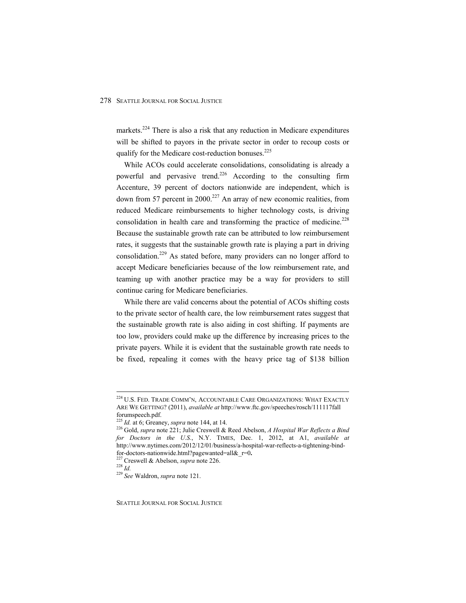markets.<sup>224</sup> There is also a risk that any reduction in Medicare expenditures will be shifted to payors in the private sector in order to recoup costs or qualify for the Medicare cost-reduction bonuses.<sup>225</sup>

While ACOs could accelerate consolidations, consolidating is already a powerful and pervasive trend.<sup>226</sup> According to the consulting firm Accenture, 39 percent of doctors nationwide are independent, which is down from 57 percent in 2000.<sup>227</sup> An array of new economic realities, from reduced Medicare reimbursements to higher technology costs, is driving consolidation in health care and transforming the practice of medicine.<sup>228</sup> Because the sustainable growth rate can be attributed to low reimbursement rates, it suggests that the sustainable growth rate is playing a part in driving consolidation.229 As stated before, many providers can no longer afford to accept Medicare beneficiaries because of the low reimbursement rate, and teaming up with another practice may be a way for providers to still continue caring for Medicare beneficiaries.

While there are valid concerns about the potential of ACOs shifting costs to the private sector of health care, the low reimbursement rates suggest that the sustainable growth rate is also aiding in cost shifting. If payments are too low, providers could make up the difference by increasing prices to the private payers. While it is evident that the sustainable growth rate needs to be fixed, repealing it comes with the heavy price tag of \$138 billion

 224 U.S. FED. TRADE COMM'N, ACCOUNTABLE CARE ORGANIZATIONS: WHAT EXACTLY ARE WE GETTING? (2011), *available at* http://www.ftc.gov/speeches/rosch/111117fall forumspeech.pdf.<br><sup>225</sup> *Id.* at 6; Greaney, *supra* note 144, at 14.

<sup>&</sup>lt;sup>226</sup> Gold, *supra* note 221; Julie Creswell & Reed Abelson, *A Hospital War Reflects a Bind for Doctors in the U.S.*, N.Y. TIMES, Dec. 1, 2012, at A1, *available at*  http://www.nytimes.com/2012/12/01/business/a-hospital-war-reflects-a-tightening-bindfor-doctors-nationwide.html?pagewanted=all&\_r=0**.** 227 Creswell & Abelson, *supra* note 226. 228 *Id.* <sup>229</sup> *See* Waldron, *supra* note 121.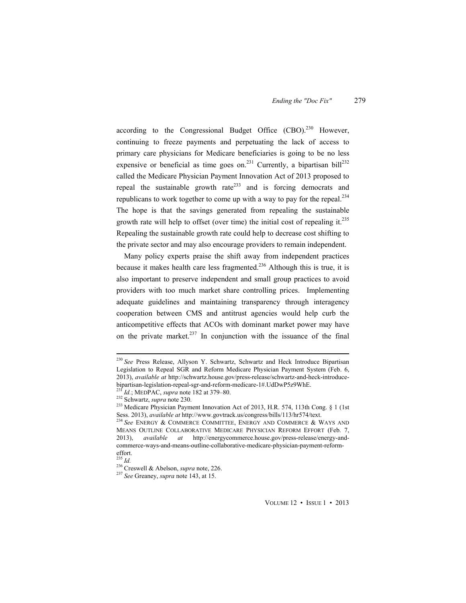according to the Congressional Budget Office  $(CBO)_{n}^{230}$  However, continuing to freeze payments and perpetuating the lack of access to primary care physicians for Medicare beneficiaries is going to be no less expensive or beneficial as time goes on.<sup>231</sup> Currently, a bipartisan bill<sup>232</sup> called the Medicare Physician Payment Innovation Act of 2013 proposed to repeal the sustainable growth rate<sup>233</sup> and is forcing democrats and republicans to work together to come up with a way to pay for the repeal. $^{234}$ The hope is that the savings generated from repealing the sustainable growth rate will help to offset (over time) the initial cost of repealing it.<sup>235</sup> Repealing the sustainable growth rate could help to decrease cost shifting to the private sector and may also encourage providers to remain independent.

Many policy experts praise the shift away from independent practices because it makes health care less fragmented.<sup>236</sup> Although this is true, it is also important to preserve independent and small group practices to avoid providers with too much market share controlling prices. Implementing adequate guidelines and maintaining transparency through interagency cooperation between CMS and antitrust agencies would help curb the anticompetitive effects that ACOs with dominant market power may have on the private market.<sup>237</sup> In conjunction with the issuance of the final

 <sup>230</sup> *See* Press Release, Allyson Y. Schwartz, Schwartz and Heck Introduce Bipartisan Legislation to Repeal SGR and Reform Medicare Physician Payment System (Feb. 6, 2013), *available at* http://schwartz.house.gov/press-release/schwartz-and-heck-introduce-<br>bipartisan-legislation-repeal-sgr-and-reform-medicare-1#.UdDwP5z9WhE.

<sup>&</sup>lt;sup>231</sup> *Id.*; MEDPAC, *supra* note 182 at 379–80.<br><sup>232</sup> Schwartz, *supra* note 230.<br><sup>233</sup> Medicare Physician Payment Innovation Act of 2013, H.R. 574, 113th Cong. § 1 (1st Sess. 2013), *available at* http://www.govtrack.us/congress/bills/113/hr574/text. <sup>234</sup> See ENERGY & COMMERCE COMMITTEE, ENERGY AND COMMERCE & WAYS AND

MEANS OUTLINE COLLABORATIVE MEDICARE PHYSICIAN REFORM EFFORT (Feb. 7, 2013), *available at* http://energycommerce.house.gov/press-release/energy-andcommerce-ways-and-means-outline-collaborative-medicare-physician-payment-reformeffort.<br> $^{235}$  Id.

<sup>235</sup> *Id.* 236 Creswell & Abelson, *supra* note, 226. 237 *See* Greaney, *supra* note 143, at 15.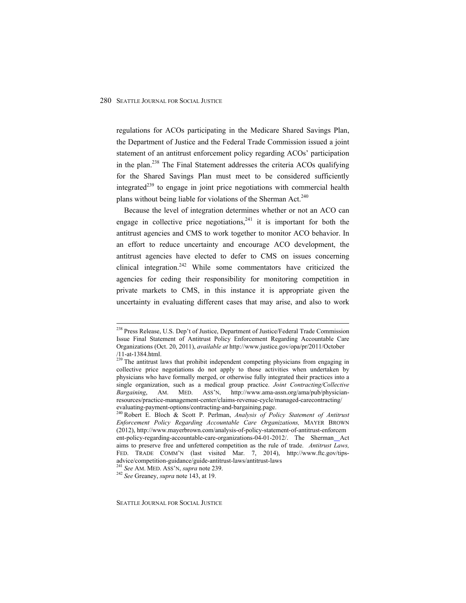regulations for ACOs participating in the Medicare Shared Savings Plan, the Department of Justice and the Federal Trade Commission issued a joint statement of an antitrust enforcement policy regarding ACOs' participation in the plan.<sup>238</sup> The Final Statement addresses the criteria ACOs qualifying for the Shared Savings Plan must meet to be considered sufficiently integrated<sup>239</sup> to engage in joint price negotiations with commercial health plans without being liable for violations of the Sherman Act.<sup>240</sup>

Because the level of integration determines whether or not an ACO can engage in collective price negotiations, $241$  it is important for both the antitrust agencies and CMS to work together to monitor ACO behavior. In an effort to reduce uncertainty and encourage ACO development, the antitrust agencies have elected to defer to CMS on issues concerning clinical integration.<sup>242</sup> While some commentators have criticized the agencies for ceding their responsibility for monitoring competition in private markets to CMS, in this instance it is appropriate given the uncertainty in evaluating different cases that may arise, and also to work

<sup>&</sup>lt;sup>238</sup> Press Release, U.S. Dep't of Justice, Department of Justice/Federal Trade Commission Issue Final Statement of Antitrust Policy Enforcement Regarding Accountable Care Organizations (Oct. 20, 2011), *available at* http://www.justice.gov/opa/pr/2011/October /11-at-1384.html.

<sup>&</sup>lt;sup>229</sup> The antitrust laws that prohibit independent competing physicians from engaging in collective price negotiations do not apply to those activities when undertaken by physicians who have formally merged, or otherwise fully integrated their practices into a single organization, such as a medical group practice. *Joint Contracting/Collective Bargaining*, AM. MED. ASS'N, http://www.ama-assn.org/ama/pub/physicianresources/practice-management-center/claims-revenue-cycle/managed-carecontracting/ evaluating-payment-options/contracting-and-bargaining.page. 240 Robert E. Bloch & Scott P. Perlman, *Analysis of Policy Statement of Antitrust* 

*Enforcement Policy Regarding Accountable Care Organizations,* MAYER BROWN (2012), http://www.mayerbrown.com/analysis-of-policy-statement-of-antitrust-enforcem ent-policy-regarding-accountable-care-organizations-04-01-2012/. The Sherman Act aims to preserve free and unfettered competition as the rule of trade. *Antitrust Laws,* FED. TRADE COMM'N (last visited Mar. 7, 2014), http://www.ftc.gov/tipsadvice/competition-guidance/guide-antitrust-laws/antitrust-laws

<sup>241</sup> *See* AM. MED. ASS'N, *supra* note 239. 242 *See* Greaney, *supra* note 143, at 19.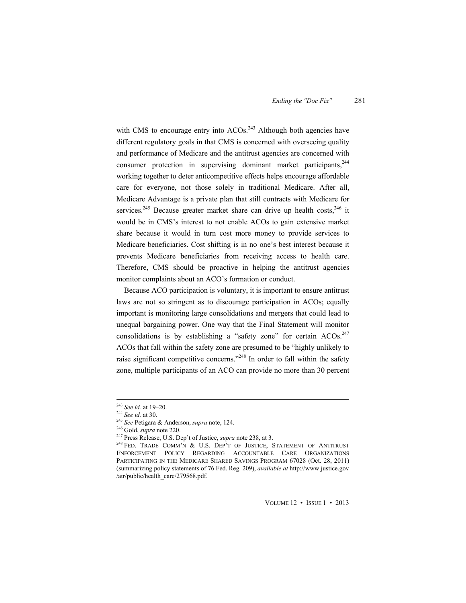with CMS to encourage entry into  $ACOs.<sup>243</sup>$  Although both agencies have different regulatory goals in that CMS is concerned with overseeing quality and performance of Medicare and the antitrust agencies are concerned with consumer protection in supervising dominant market participants.  $244$ working together to deter anticompetitive effects helps encourage affordable care for everyone, not those solely in traditional Medicare. After all, Medicare Advantage is a private plan that still contracts with Medicare for services.<sup>245</sup> Because greater market share can drive up health costs,<sup>246</sup> it would be in CMS's interest to not enable ACOs to gain extensive market share because it would in turn cost more money to provide services to Medicare beneficiaries. Cost shifting is in no one's best interest because it prevents Medicare beneficiaries from receiving access to health care. Therefore, CMS should be proactive in helping the antitrust agencies monitor complaints about an ACO's formation or conduct.

Because ACO participation is voluntary, it is important to ensure antitrust laws are not so stringent as to discourage participation in ACOs; equally important is monitoring large consolidations and mergers that could lead to unequal bargaining power. One way that the Final Statement will monitor consolidations is by establishing a "safety zone" for certain  $ACOs^{247}$ ACOs that fall within the safety zone are presumed to be "highly unlikely to raise significant competitive concerns."<sup>248</sup> In order to fall within the safety zone, multiple participants of an ACO can provide no more than 30 percent

<sup>&</sup>lt;sup>243</sup> See id. at 19–20.<br><sup>244</sup> See id. at 30.<br><sup>245</sup> See Petigara & Anderson, *supra* note, 124.<br><sup>246</sup> Gold, *supra* note 220.<br><sup>247</sup> Press Release, U.S. Dep't of Justice, *supra* note 238, at 3.<br><sup>248</sup> FED. TRADE COMM'N & U. ENFORCEMENT POLICY REGARDING ACCOUNTABLE CARE ORGANIZATIONS PARTICIPATING IN THE MEDICARE SHARED SAVINGS PROGRAM 67028 (Oct. 28, 2011) (summarizing policy statements of 76 Fed. Reg. 209), *available at* http://www.justice.gov /atr/public/health\_care/279568.pdf.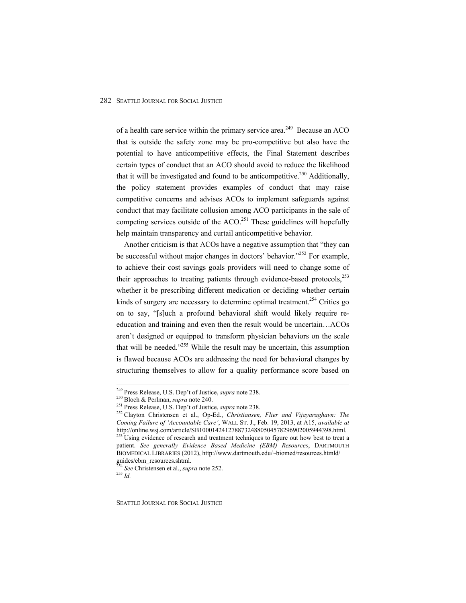of a health care service within the primary service area.<sup>249</sup> Because an ACO that is outside the safety zone may be pro-competitive but also have the potential to have anticompetitive effects, the Final Statement describes certain types of conduct that an ACO should avoid to reduce the likelihood that it will be investigated and found to be anticompetitive.<sup>250</sup> Additionally, the policy statement provides examples of conduct that may raise competitive concerns and advises ACOs to implement safeguards against conduct that may facilitate collusion among ACO participants in the sale of competing services outside of the  $ACO<sup>251</sup>$  These guidelines will hopefully help maintain transparency and curtail anticompetitive behavior.

Another criticism is that ACOs have a negative assumption that "they can be successful without major changes in doctors' behavior."<sup>252</sup> For example, to achieve their cost savings goals providers will need to change some of their approaches to treating patients through evidence-based protocols, $^{253}$ whether it be prescribing different medication or deciding whether certain kinds of surgery are necessary to determine optimal treatment.<sup>254</sup> Critics go on to say, "[s]uch a profound behavioral shift would likely require reeducation and training and even then the result would be uncertain…ACOs aren't designed or equipped to transform physician behaviors on the scale that will be needed." $255$  While the result may be uncertain, this assumption is flawed because ACOs are addressing the need for behavioral changes by structuring themselves to allow for a quality performance score based on

SEATTLE JOURNAL FOR SOCIAL JUSTICE

<sup>&</sup>lt;sup>249</sup> Press Release, U.S. Dep't of Justice, *supra* note 238.<br><sup>250</sup> Bloch & Perlman, *supra* note 240.<br><sup>251</sup> Press Release, U.S. Dep't of Justice, *supra* note 238.<br><sup>252</sup> Clayton Christensen et al., Op-Ed., *Christiansen, Coming Failure of 'Accountable Care'*, WALL ST. J., Feb. 19, 2013, at A15, *available at* 

 $\frac{253}{253}$  Using evidence of research and treatment techniques to figure out how best to treat a patient. *See generally Evidence Based Medicine (EBM) Resources*, DARTMOUTH BIOMEDICAL LIBRARIES (2012), http://www.dartmouth.edu/~biomed/resources.htmld/ guides/ebm\_resources.shtml.

<sup>254</sup> *See* Christensen et al., *supra* note 252. 255 *Id.*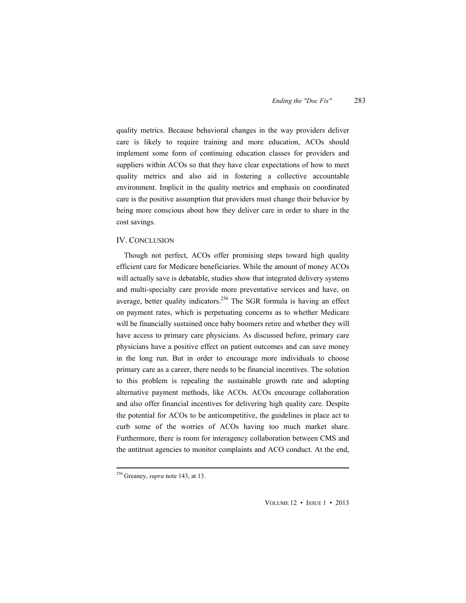quality metrics. Because behavioral changes in the way providers deliver care is likely to require training and more education, ACOs should implement some form of continuing education classes for providers and suppliers within ACOs so that they have clear expectations of how to meet quality metrics and also aid in fostering a collective accountable environment. Implicit in the quality metrics and emphasis on coordinated care is the positive assumption that providers must change their behavior by being more conscious about how they deliver care in order to share in the cost savings.

#### IV. CONCLUSION

Though not perfect, ACOs offer promising steps toward high quality efficient care for Medicare beneficiaries. While the amount of money ACOs will actually save is debatable, studies show that integrated delivery systems and multi-specialty care provide more preventative services and have, on average, better quality indicators.<sup>256</sup> The SGR formula is having an effect on payment rates, which is perpetuating concerns as to whether Medicare will be financially sustained once baby boomers retire and whether they will have access to primary care physicians. As discussed before, primary care physicians have a positive effect on patient outcomes and can save money in the long run. But in order to encourage more individuals to choose primary care as a career, there needs to be financial incentives. The solution to this problem is repealing the sustainable growth rate and adopting alternative payment methods, like ACOs. ACOs encourage collaboration and also offer financial incentives for delivering high quality care. Despite the potential for ACOs to be anticompetitive, the guidelines in place act to curb some of the worries of ACOs having too much market share. Furthermore, there is room for interagency collaboration between CMS and the antitrust agencies to monitor complaints and ACO conduct. At the end,

VOLUME 12 • ISSUE 1 • 2013

 256 Greaney, *supra* note 143, at 13.